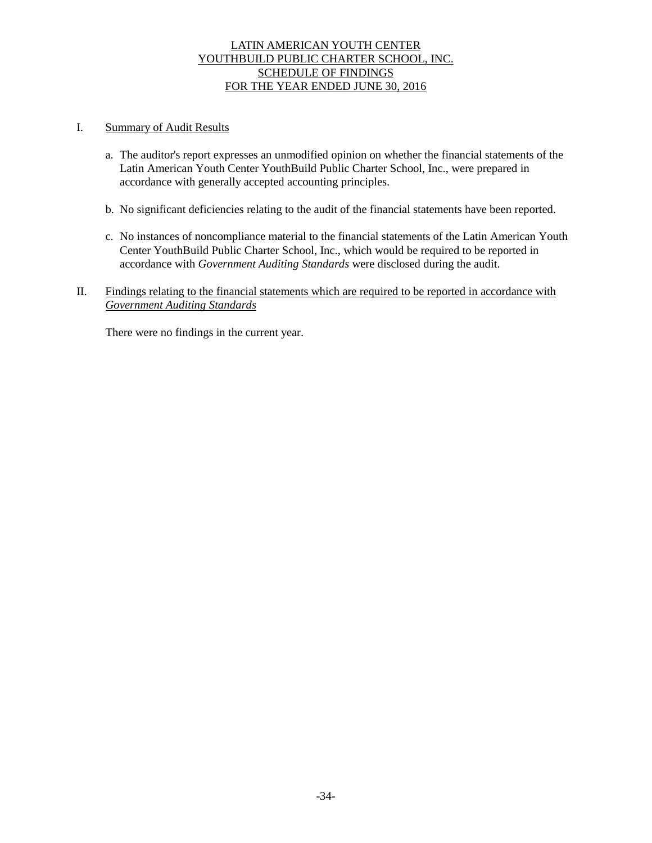LATIN AMERICAN YOUTH CENTER YOUTHBUILD PUBLIC CHARTER SCHOOL, INC.

WASHINGTON, DC

-------------------------------------------- COMPARATIVE AUDIT REPORT

FOR THE YEARS ENDED JUNE 30, 2016 AND 2015

# **KENDALL, PREBOLA AND JONES**

Certified Public Accountants PO BOX 259 BEDFORD, PENNSYLVANIA 15522-0259 (814) 623-1880 FAX (814) 623-7548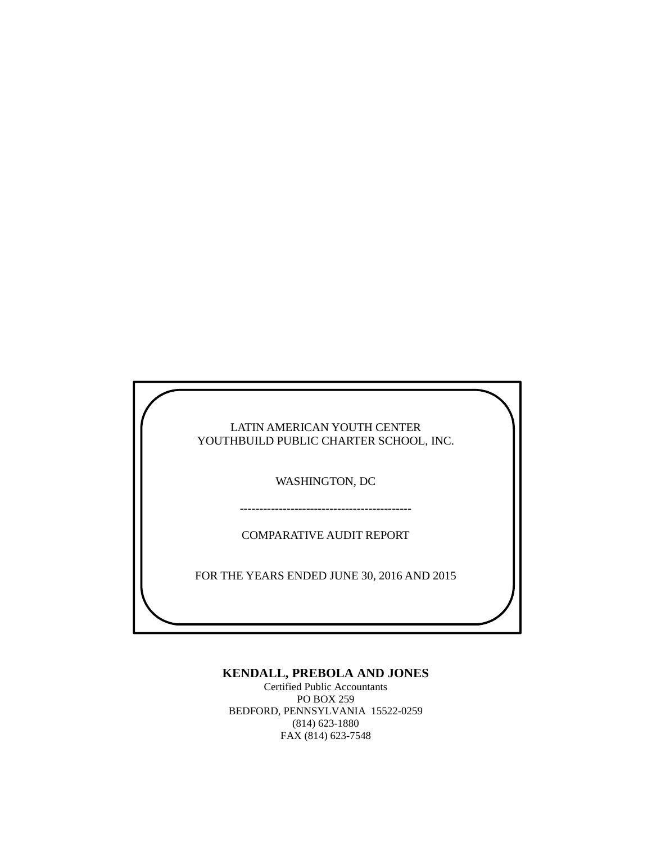# I N D E X

|                                                                                                                                                                                                                          | Page           |
|--------------------------------------------------------------------------------------------------------------------------------------------------------------------------------------------------------------------------|----------------|
| <b>Independent Auditor's Report</b>                                                                                                                                                                                      | $1 - 2$        |
| Comparative Statements of Financial Position, June 30, 2016 and 2015                                                                                                                                                     | 3              |
| Comparative Statements of Activities, For the Years Ended June 30, 2016 and 2015                                                                                                                                         | $\overline{4}$ |
| Comparative Statements of Cash Flows, For the Years Ended June 30, 2016 and 2015                                                                                                                                         | 5              |
| <b>Notes to Financial Statements</b>                                                                                                                                                                                     | $6 - 25$       |
| Supplemental Information                                                                                                                                                                                                 |                |
| Schedule 1 - Schedule of Functional Expenses, For the Year Ended<br>June 30, 2016                                                                                                                                        | $26 - 27$      |
| Schedule 2 - Schedule of Functional Expenses, For the Year Ended<br>June 30, 2015                                                                                                                                        | 28-29          |
| Schedule 3 - Comparative Schedules of Average Cost Per Student,<br>For the Years Ended June 30, 2016 and 2015                                                                                                            | 30             |
| Independent Auditor's Report on Internal Control over Financial Reporting<br>and on Compliance and Other Matters Based on an Audit of Financial<br>Statements Performed in Accordance with Government Auditing Standards | $31 - 32$      |
| Summary Schedule of Prior Audit Findings, For the Year Ended June 30, 2016                                                                                                                                               | 33             |
| Schedule of Findings, For the Year Ended June 30, 2016                                                                                                                                                                   | 34             |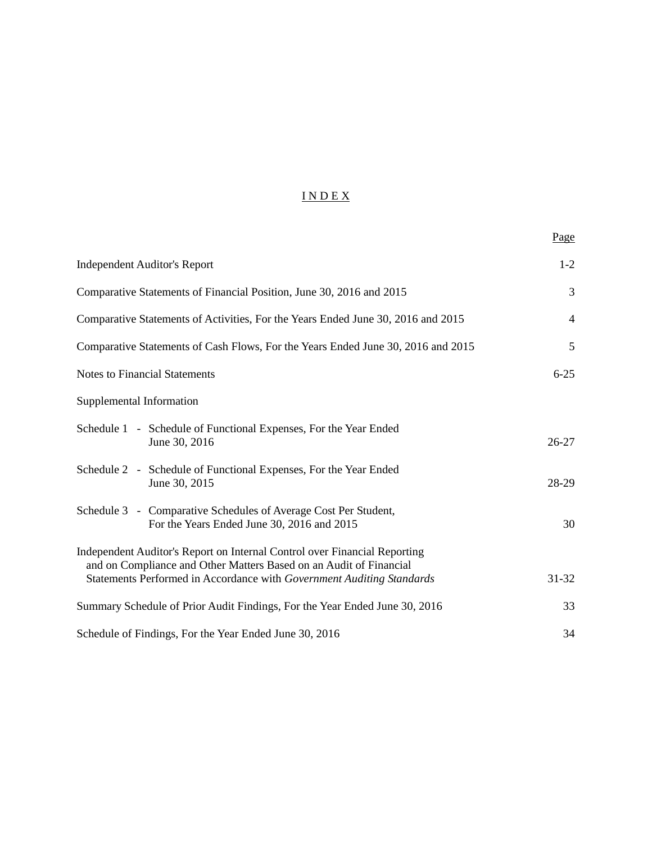Board of Directors Latin American Youth Center YouthBuild Public Charter School, Inc. 3014 14th Street, NW Washington, DC 20009

#### INDEPENDENT AUDITOR'S REPORT

#### *Report on the Financial Statements*

We have audited the accompanying financial statements of the Latin American Youth Center YouthBuild Public Charter School, Inc. (a nonprofit organization), which comprise the statements of financial position as of June 30, 2016 and 2015, and the related statements of activities and cash flows for the years then ended, and the related notes to the financial statements.

#### *Management's Responsibility for the Financial Statements*

Management is responsible for the preparation and fair presentation of these financial statements in accordance with accounting principles generally accepted in the United States of America; this includes the design, implementation, and maintenance of internal control relevant to the preparation and fair presentation of financial statements that are free from material misstatement, whether due to fraud or error.

#### *Auditor's Responsibility*

Our responsibility is to express an opinion on these financial statements based on our audits. We conducted our audits in accordance with auditing standards generally accepted in the United States of America and the standards applicable to financial audits contained in *Government Auditing Standards*, issued by the Comptroller General of the United States. Those standards require that we plan and perform the audit to obtain reasonable assurance about whether the financial statements are free from material misstatement.

An audit involves performing procedures to obtain audit evidence about the amounts and disclosures in the financial statements. The procedures selected depend on the auditor's judgment, including the assessment of the risks of material misstatement of the financial statements, whether due to fraud or error. In making those risk assessments, the auditor considers internal control relevant to the entity's preparation and fair presentation of the financial statements in order to design audit procedures that are appropriate in the circumstances, but not for the purpose of expressing an opinion on the effectiveness of the entity's internal control. Accordingly, we express no such opinion. An audit also includes evaluating the appropriateness of accounting policies used and the reasonableness of significant accounting estimates made by management, as well as evaluating the overall presentation of the financial statements.

We believe that the audit evidence we have obtained is sufficient and appropriate to provide a basis for our audit opinion.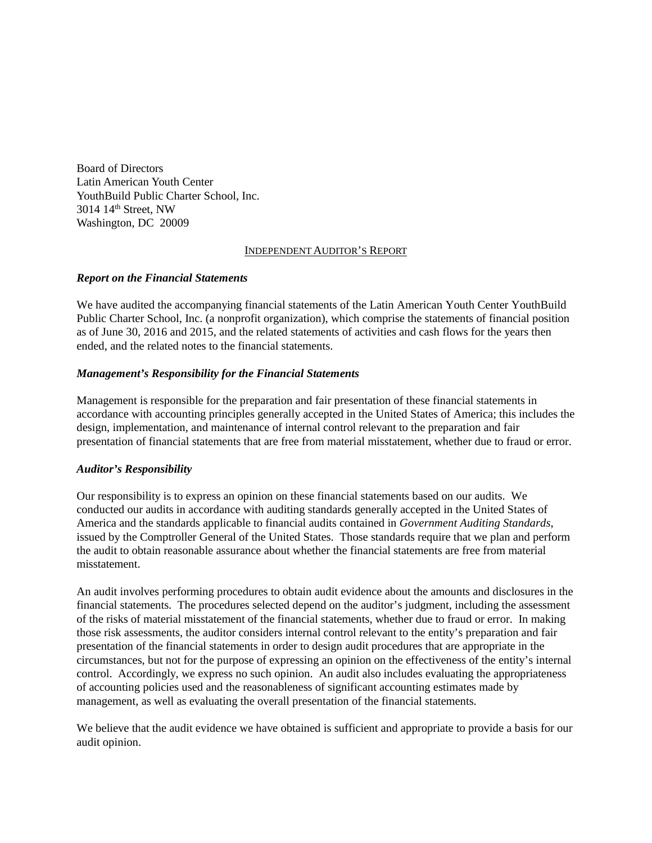# *Opinion*

In our opinion, the financial statements referred to above present fairly, in all material respects, the financial position of the Latin American Youth Center YouthBuild Public Charter School, Inc., as of June 30, 2016 and 2015, and the changes in its net assets and its cash flows for the years then ended in accordance with accounting principles generally accepted in the United States of America.

# *Report on Supplementary Information*

Our audits were conducted for the purpose of forming an opinion on the financial statements as a whole. The supplemental schedules of functional expenses and schedules of average cost per student are presented for purposes of additional analysis and are not a required part of the financial statements. Such information is the responsibility of management and was derived from and relates directly to the underlying accounting and other records used to prepare the financial statements. The information has been subjected to the auditing procedures applied in the audit of the financial statements and certain additional procedures, including comparing and reconciling such information directly to the underlying accounting and other records used to prepare the financial statements or to the financial statements themselves, and other additional procedures in accordance with auditing standards generally accepted in the United States of America. In our opinion, the information is fairly stated in all material respects in relation to the financial statements as a whole.

# *Other Reporting Required by Government Auditing Standards*

In accordance with *Government Auditing Standards*, we have also issued our report dated October 6, 2016, on our consideration of the Latin American Youth Center YouthBuild Public Charter School, Inc.'s internal control over financial reporting and on our tests of its compliance with certain provisions of laws, regulations, contracts and grant agreements and other matters. The purpose of that report is to describe the scope of our testing of internal control over financial reporting and compliance and the results of that testing, and not to provide an opinion on the internal control over financial reporting or on compliance. That report is an integral part of an audit performed in accordance with *Government Auditing Standards* in considering the Latin American Youth Center YouthBuild Public Charter School, Inc.'s internal control over financial reporting and compliance.

> Kendall, Prebola and Jones Certified Public Accountants

Bedford, Pennsylvania October 6, 2016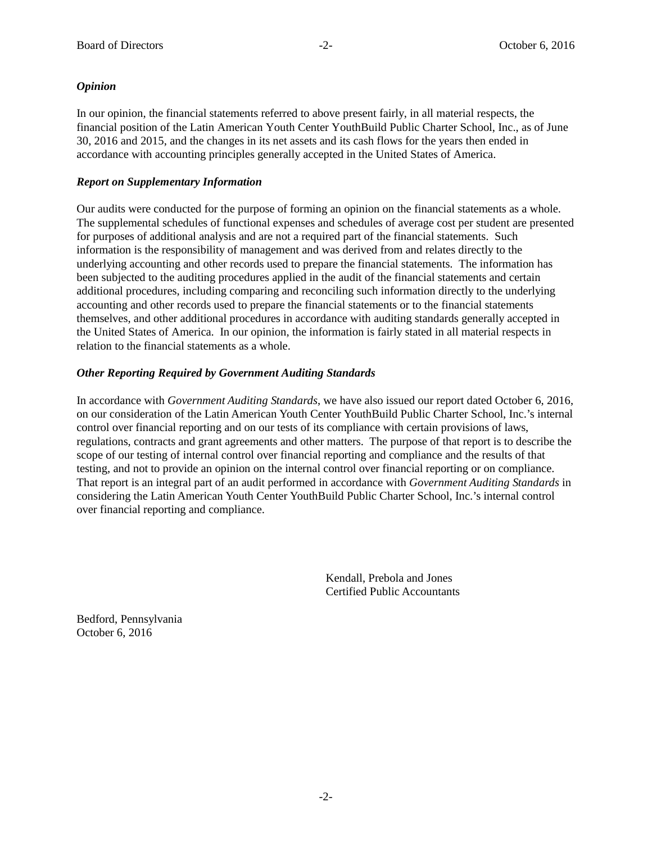# LATIN AMERICAN YOUTH CENTER YOUTHBUILD PUBLIC CHARTER SCHOOL, INC. COMPARATIVE STATEMENTS OF FINANCIAL POSITION JUNE 30, 2016 AND 2015

|                                              | June 30, 2016            | June 30, 2015 |
|----------------------------------------------|--------------------------|---------------|
| <b>ASSETS</b>                                |                          |               |
| <b>Current Assets:</b>                       |                          |               |
| Cash and Cash Equivalents                    | \$<br>270,530            | \$<br>129,956 |
| Investments                                  |                          | 460,922       |
| <b>Accounts Receivable</b>                   | 21,107                   | 39,062        |
| <b>Grants Receivable</b>                     | 79,778                   | 40,968        |
| Prepaid Expenses                             | 20,330                   | 48,772        |
| <b>Total Current Assets</b>                  | \$<br>391,745            | \$<br>719,680 |
| <b>Fixed Assets:</b>                         |                          |               |
| <b>Fixed Assets</b>                          | \$<br>329,991            | \$<br>316,206 |
| Less: Accumulated Depreciation               | (246, 436)               | (228, 517)    |
| <b>Total Fixed Assets</b>                    | 83,555<br>\$             | \$<br>87,689  |
| Other Assets:                                |                          |               |
| Deposits                                     | \$<br>8,000              | \$            |
| <b>Total Other Assets</b>                    | \$<br>8,000              | \$            |
| <b>TOTAL ASSETS</b>                          | $\mathcal{S}$<br>483,300 | 807,369       |
| <b>LIABILITIES AND NET ASSETS</b>            |                          |               |
| <b>Current Liabilities:</b>                  |                          |               |
| <b>Accounts Payable</b>                      | \$<br>16,135             | \$<br>109,868 |
| <b>Accrued Vacation</b>                      | 27,781                   | 57,847        |
| Payroll Withholdings and Related Liabilities | 3,582                    | 2,638         |
| <b>Refundable Advances</b>                   | 33,025                   | 2,572         |
| <b>Total Current Liabilities</b>             | \$<br>80,523             | \$<br>172,925 |
| <b>Total Liabilities</b>                     | \$<br>80,523             | \$<br>172,925 |
| Net Assets:                                  |                          |               |
| Unrestricted                                 | \$<br>388,636            | \$<br>619,803 |
| <b>Temporarily Restricted</b>                | 14,141                   | 14,641        |
| <b>Total Net Assets</b>                      | 402,777<br>\$            | \$<br>634,444 |
| TOTAL LIABILITIES AND NET ASSETS             | \$<br>483,300            | \$<br>807,369 |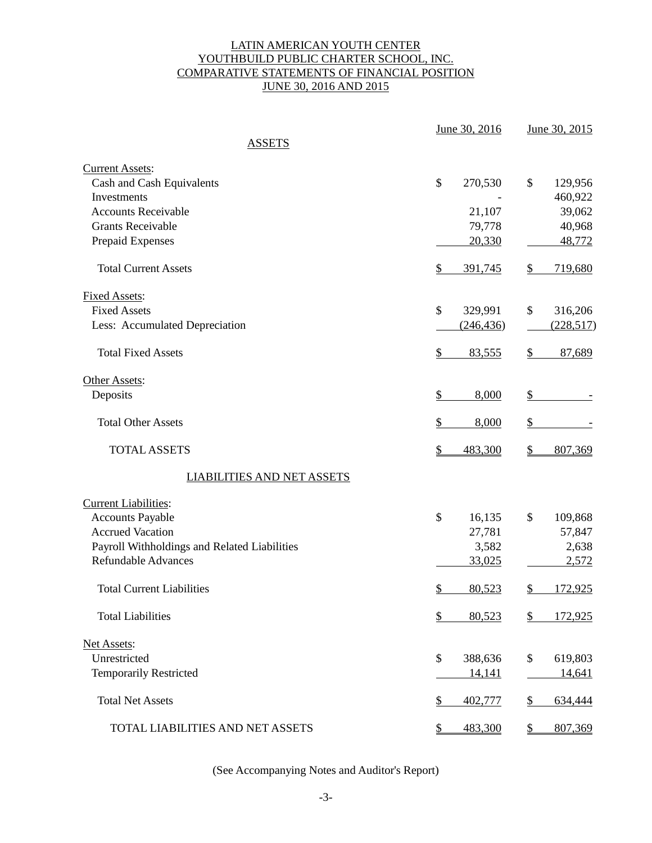# LATIN AMERICAN YOUTH CENTER YOUTHBUILD PUBLIC CHARTER SCHOOL, INC. COMPARATIVE STATEMENTS OF ACTIVITIES FOR THE YEARS ENDED JUNE 30, 2016 AND 2015

|                                              |               | June 30, 2016                      |              | June 30, 2015 |                           |                  |  |
|----------------------------------------------|---------------|------------------------------------|--------------|---------------|---------------------------|------------------|--|
|                                              | Unrestricted  | Temporarily<br>Restricted          | Total        | Unrestricted  | Temporarily<br>Restricted | Total            |  |
| Revenues and Other Support:                  |               |                                    |              |               |                           |                  |  |
| Per Pupil Funding Allocation                 | \$1,974,026   | \$                                 | \$1,974,026  | \$1,748,095   | \$                        | \$1,748,095      |  |
| Per Pupil Funding - Facilities Allowance     | 359,260       |                                    | 359,260      | 344,064       |                           | 344,064          |  |
| <b>Federal Entitlements and Grants</b>       | 571,387       |                                    | 571,387      | 604,534       |                           | 604,534          |  |
| <b>State Government Grants</b>               | 17,621        |                                    | 17,621       | 5,704         |                           | 5,704            |  |
| <b>Private Grants and Contributions</b>      | 27,269        | 40,000                             | 67,269       | 39,043        | 10,000                    | 49,043           |  |
| <b>Donated Services</b>                      |               |                                    |              | 9,710         |                           | 9,710            |  |
| <b>Interest and Dividends</b>                | 4,347         |                                    | 4,347        | 17,609        |                           | 17,609           |  |
| <b>Capital Gains and Realized Gains</b>      | 20,181        |                                    | 20,181       | 3,621         |                           | 3,621            |  |
| Unrealized Gain/(Loss) on Investments        | (18, 597)     |                                    | (18,597)     | (12,760)      |                           | (12,760)         |  |
| <b>Net Assets Released from Restrictions</b> |               |                                    |              |               |                           |                  |  |
| (Satisfaction of Program Restrictions)       | 40,500        | (40,500)                           |              | 10,000        | (10,000)                  |                  |  |
| <b>Total Revenues and Other Support</b>      | \$2,995,994   | \$<br>(500)                        | \$2,995,494  | \$2,769,620   |                           | \$2,769,620      |  |
| Expenses:                                    |               |                                    |              |               |                           |                  |  |
| <b>Educational Services</b>                  | \$2,818,057   | $\boldsymbol{\mathsf{S}}$          | \$2,818,057  | \$2,485,088   | \$<br>$\blacksquare$      | \$2,485,088      |  |
| Fundraising                                  | 17,887        |                                    | 17,887       | 26,408        |                           | 26,408           |  |
| General and Administrative                   | 391,217       |                                    | 391,217      | 378,428       |                           | 378,428          |  |
| <b>Total Expenses</b>                        | \$3,227,161   | \$                                 | \$3,227,161  | \$2,889,924   |                           | \$2,889,924      |  |
| Changes in Net Assets                        | \$ (231,167)  | $\boldsymbol{\mathsf{S}}$<br>(500) | \$ (231,667) | (120, 304)    | \$<br>$\overline{a}$      | \$<br>(120, 304) |  |
| Net Assets, Beginning of Year                | 619,803       | 14,641                             | 634,444      | 740,107       | 14,641                    | 754,748          |  |
| Net Assets, End of Year                      | 388,636<br>\$ | 14,141<br>\$                       | 402,777<br>S | 619,803       | 14,641                    | 634,444          |  |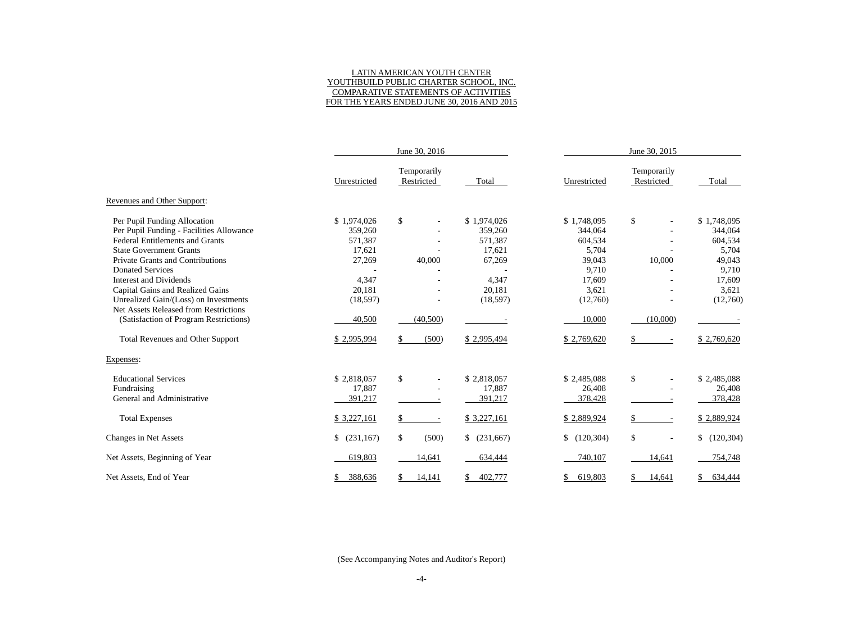### LATIN AMERICAN YOUTH CENTER YOUTHBUILD PUBLIC CHARTER SCHOOL, INC. COMPARATIVE STATEMENTS OF CASH FLOWS FOR THE YEARS ENDED JUNE 30, 2016 AND 2015

|                                                                    |                           | June 30, 2016 | June 30, 2015 |            |
|--------------------------------------------------------------------|---------------------------|---------------|---------------|------------|
| <b>Cash Flows from Operating Activities:</b>                       |                           |               |               |            |
| <b>Changes in Net Assets</b>                                       | $\boldsymbol{\mathsf{S}}$ | (231, 667)    | \$            | (120, 304) |
| Adjustments to Reconcile Changes in Net Assets                     |                           |               |               |            |
| to Net Cash Flows from Operating Activities:                       |                           |               |               |            |
| Depreciation                                                       |                           | 17,919        |               | 19,035     |
| Realized (Gain)/Loss on Investments                                |                           | (20, 181)     |               | 2,149      |
| Unrealized (Gain)/Loss on Investments                              |                           | 18,597        |               | 12,760     |
| Accounts Receivable - (Increase)/Decrease                          |                           | 17,955        |               | (31, 330)  |
| Grants Receivable - (Increase)/Decrease                            |                           | (38, 810)     |               | 15,901     |
| Prepaid Expenses - (Increase)/Decrease                             |                           | 28,442        |               | (24, 857)  |
| Deposits - (Increase)/Decrease                                     |                           | (8,000)       |               |            |
| Accounts Payable - Increase/(Decrease)                             |                           | (93, 733)     |               | 89,019     |
| Accrued Vacation - Increase/(Decrease)                             |                           | (30,066)      |               | (13, 406)  |
| Payroll Withholdings and Related Liabilities - Increase/(Decrease) |                           | 944           |               | 716        |
| Refundable Advances - Increase/(Decrease)                          |                           | 30,453        |               | 2,572      |
| Net Cash Flows from Operating Activities                           | \$                        | (308, 147)    | S             | (47, 745)  |
| <b>Cash Flows from Investing Activities:</b>                       |                           |               |               |            |
| Purchase of Investments                                            | \$                        | (31,779)      | \$            | (150, 496) |
| Proceeds on Sale of Investments                                    |                           | 494,285       |               | 84,051     |
| <b>Purchase of Fixed Assets</b>                                    |                           | (13,785)      |               | (8,969)    |
| Net Cash Flows from Investing Activities                           | \$                        | 448,721       | \$            | (75, 414)  |
| Net Increase/(Decrease) in Cash and Cash Equivalents               | \$                        | 140,574       | \$            | (123, 159) |
| Cash and Cash Equivalents at Beginning of Year                     |                           | 129,956       |               | 253,115    |
| Cash and Cash Equivalents at End of Year                           | \$                        | 270,530       | \$            | 129,956    |

# Supplemental Disclosures:

a) No income taxes were paid during the years ended June 30, 2016 and 2015.

b) No interest was paid during the years ended June 30, 2016 and 2015.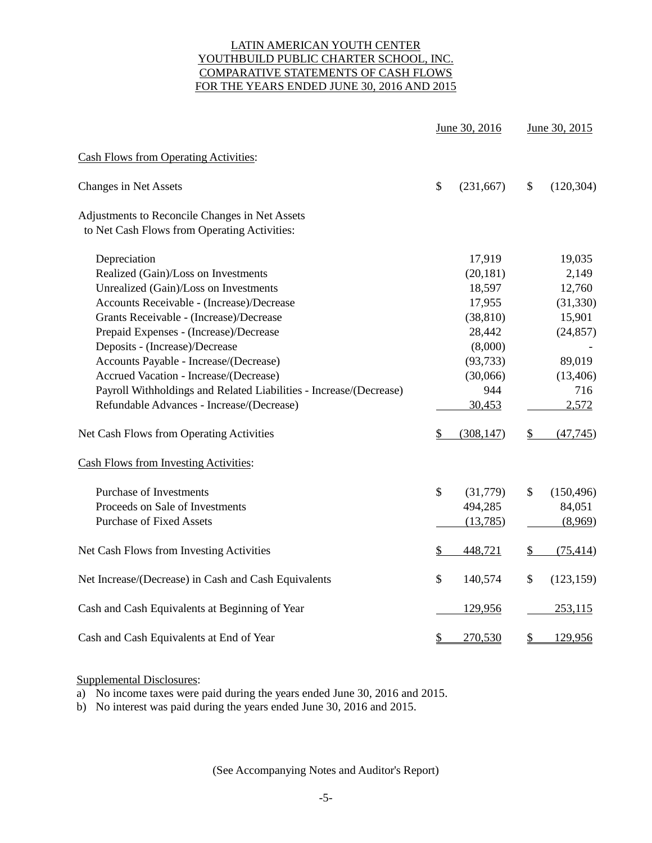The Latin American Youth Center YouthBuild Public Charter School (YouthBuild PCS), a District of Columbia non-profit organization, was incorporated on October 7, 2004 exclusively for educational purposes. YouthBuild PCS operates as part of the District of Columbia's public school system, focusing exclusively on disconnected youth - young men and women between the ages of 16-24 who are neither employed nor enrolled in an academic institution. Through its programs, YouthBuild PCS seeks to transform the lives of disconnected youth by offering a program, in English and Spanish, that combines rigorous academic instruction with vocational training, life and employability skills-building, and community service.

One of few alternative schools in the District, YouthBuild PCS' program is designed to provide students with opportunities to succeed, including access to post-secondary education and employment. Students participate in a comprehensive academic program in a non-traditional learning environment while contributing to their community through development of housing for low-income residents of the District of Columbia. Small by design, YouthBuild PCS' nurturing learning community utilizes innovative, evidence-based strategies with demonstrated effectiveness in increasing numeracy and literacy rates among its target demographic.

Per pupil funding from the District of Columbia Government serves as YouthBuild PCS' primary source of support.

### 1. SUMMARY OF SIGNIFICANT ACCOUNTING POLICIES:

The significant accounting policies of the Charter School are summarized below:

(a) Basis of Accounting and Presentation:

The accompanying financial statements have been prepared on the accrual basis of accounting, which presents financial position, activities, functional expenses, and cash flows in accordance with accounting principles generally accepted in the United States of America.

(b) Revenue Recognition:

#### **Contributions**

The Charter School has adopted Financial Accounting Standards Board ASC No. 958-605-25, *Accounting for Contributions Received and Contributions Made.* As such, contributions are recognized as revenue when they are received or unconditionally pledged.

All contributions are available for unrestricted use unless specifically restricted by the donor. Contributions and promises to give with donor imposed conditions are recognized as unrestricted support when the conditions on which they depend are substantially met. Contributions and promises to give with donor imposed restrictions are reported as temporarily restricted support. Unconditional promises to give due in the next year are recorded at their net realizable value. An allowance for uncollectible contributions receivable is provided based upon management's judgement, including such factors as prior collection history and type of contribution.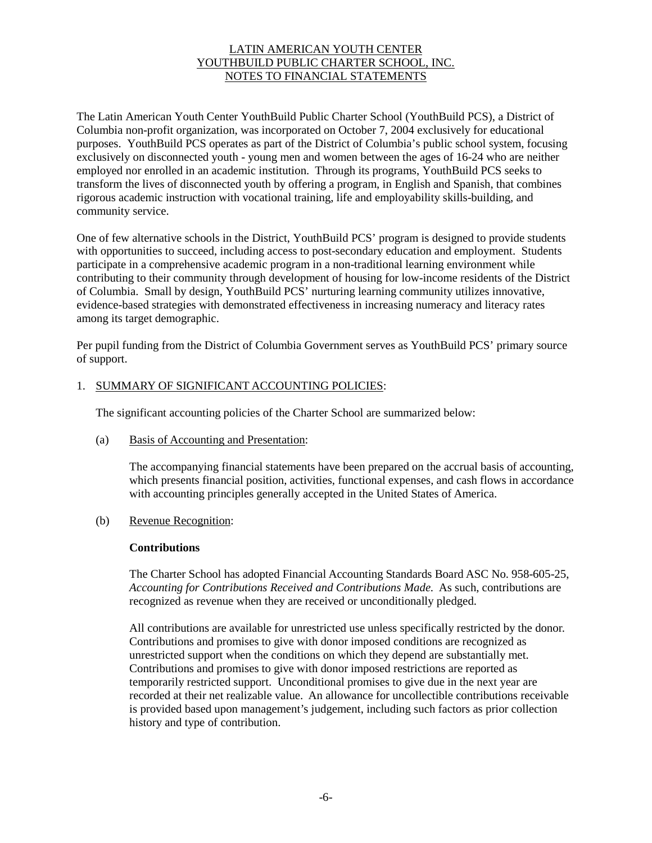### 1. SUMMARY OF SIGNIFICANT ACCOUNTING POLICIES: (Continued)

#### (b) Revenue Recognition: (Continued)

#### **Contributions** (Continued)

The Charter School reports gifts of equipment as unrestricted support unless explicit donor stipulations specify how the donated assets must be used. The Charter School reports expirations of donor restrictions when the donated or acquired assets are placed in service.

#### **Federal and Charter School Funding**

The Latin American Youth Center YouthBuild Public Charter School receives a student allocation from the District of Columbia as well as federal funding to cover the cost of academic expenses. The student allocation is on a per pupil basis and includes the academic year funding, special education funding and a facilities allotment, as well as funding for English as a second language. The YouthBuild Public Charter School recognizes this funding in the year in which the school term is conducted. Funding received in advance of the school term is recorded as a refundable advance.

Federal entitlements are recognized based on the allowable costs incurred.

(c) Corporate Taxes:

The Latin American Youth Center YouthBuild Public Charter School is exempt from federal and state income taxes (other than on unrelated business income) under the provisions of Section  $501(c)(3)$  of the Internal Revenue Code and similar state income tax laws. Exemption from District of Columbia income taxes was granted to the Charter School effective November 19, 2004. Accordingly, no provisions for income taxes have been provided for in the accompanying financial statements. The organization has been classified as other than a private foundation under Section 509(a)(1) of the Internal Revenue Code and accordingly contributions qualify as a charitable tax deduction by the contributor under Section  $170(b)(i)(A)(ii)$ . The school did not have any net unrelated business income for the year ended June 30, 2016.

The Latin American Youth Center YouthBuild Public Charter School is also exempt from District of Columbia sales and personal property taxes.

(d) Grants:

Grant revenues are received primarily from Federal agencies and the District of Columbia Government. These grants are subject to financial and compliance audits by the grantor agencies. Such audits could result in a request for reimbursement by the agency for expenditures disallowed under the terms and conditions of the appropriate grantor. No provision for possible adjustment has been made in the accompanying financial statements because, in the opinion of management, such adjustment, if any, would not have a material effect on the financial statements.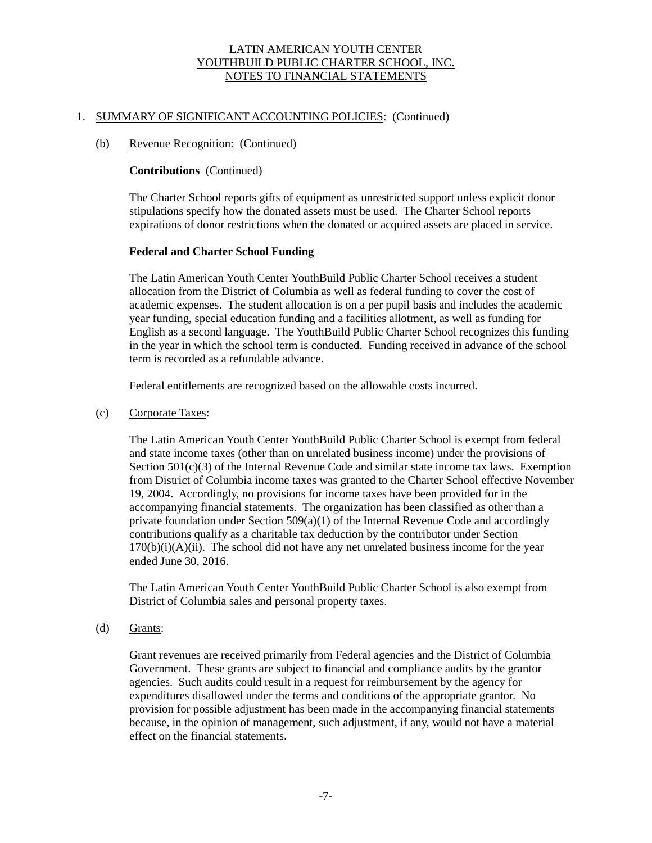#### 1. SUMMARY OF SIGNIFICANT ACCOUNTING POLICIES: (Continued)

#### (d) Grants: (Continued)

Cash receipts in excess of costs incurred for grants are reflected as refundable advances until they are expended for the purpose of the grant, at which time they are recognized as unrestricted support. Costs incurred in excess of cash received are reflected as grants receivable.

#### (e) Net Assets:

The Charter School has adopted Financial Accounting Standards Board ASC No. 958-205-05, *Financial Statements of Not-for-Profit Organizations*. Under FASB ASC No. 958-205-05, the Charter School is required to report information regarding its financial position and activities according to three classes of net assets.

Net assets and revenues, expenses, gains, and losses are classified based on the existence or absence of donor-imposed restrictions. Accordingly, net assets of the Charter School and changes therein are classified and reported as follows:

#### **Unrestricted Net Assets**

Net assets that are not subject to donor-imposed restrictions and over which the Board of Directors has discretionary control. This classification includes net assets subject to donorimposed conditions, which have been met in the current year and net assets subject to donorimposed restrictions that have been released from restrictions.

#### **Temporarily Restricted Net Assets**

Net assets subject to donor-imposed restrictions that may or will be met, either by actions of the Charter School and/or the passage of time. When a restriction expires, temporarily restricted net assets are reclassified to unrestricted net assets and reported in the statement of activities as net assets released from restrictions.

Temporarily restricted net assets were available at year end for the following purpose:

|                                                                  | June 30, 2016   | June 30, 2015   |
|------------------------------------------------------------------|-----------------|-----------------|
| General Operations - Time Restricted<br>Scholarship Fund - Hines | 10,000<br>4.141 | 10,000<br>4.641 |
| Total                                                            | 14. 14 1        | l 4 64          |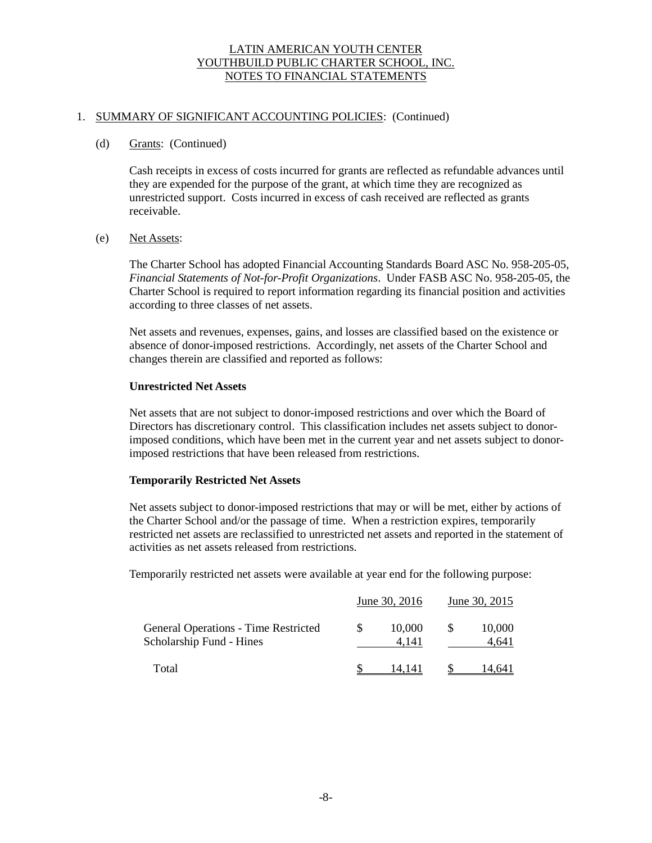### 1. SUMMARY OF SIGNIFICANT ACCOUNTING POLICIES: (Continued)

#### (e) Net Assets: (Continued)

### **Temporarily Restricted Net Assets** (Continued)

Net assets were released from donor restrictions by incurring expenses satisfying the restricted purpose, the passage of time, or by occurrence of events specified by donors for the following activities:

|                                                                                | June 30, 2016           | June 30, 2015 |        |  |
|--------------------------------------------------------------------------------|-------------------------|---------------|--------|--|
| Share Fund<br>General Operations - Time Restricted<br>Scholarship Fund - Hines | 30,000<br>10,000<br>500 |               | 10,000 |  |
| <b>Total Released</b>                                                          | 40.500                  |               |        |  |

#### **Permanently Restricted Net Assets**

Net assets subject to donor-imposed stipulations that requires the net assets be maintained permanently by the Charter School. Generally, the donors of these assets permit the use of all or part of the income earned on any related investments for general or specific purposes. The Charter School did not have any permanently restricted net assets as of June 30, 2016 or 2015.

#### (f) Donated Services and Materials:

Donated services and materials are recognized as contributions in accordance with FASB ASC 958, *Accounting for Contributions Received and Contributions Made*, if the services received create or enhance nonfinancial assets or require specialized skills, and are provided by individuals possessing those skills, and would typically need to be purchased if not provided by donation. Contributed services and promises to give services that do not meet the above criteria are not recognized. In-kind contributions for professional services are recorded in the Statement of Activities at estimated fair value and recognized as revenue and expense in the period they are received.

The estimated value of donated services has been recorded in the financial statements as follows:

|                       | June 30, 2016            | June 30, 2015 |  |  |
|-----------------------|--------------------------|---------------|--|--|
| <b>Legal Services</b> | $\overline{\phantom{0}}$ | .710          |  |  |
| Total                 |                          |               |  |  |

The time contributed by the members of the Latin American Youth Center YouthBuild Public Charter School's Board of Directors is uncompensated and is not reflected as donated services.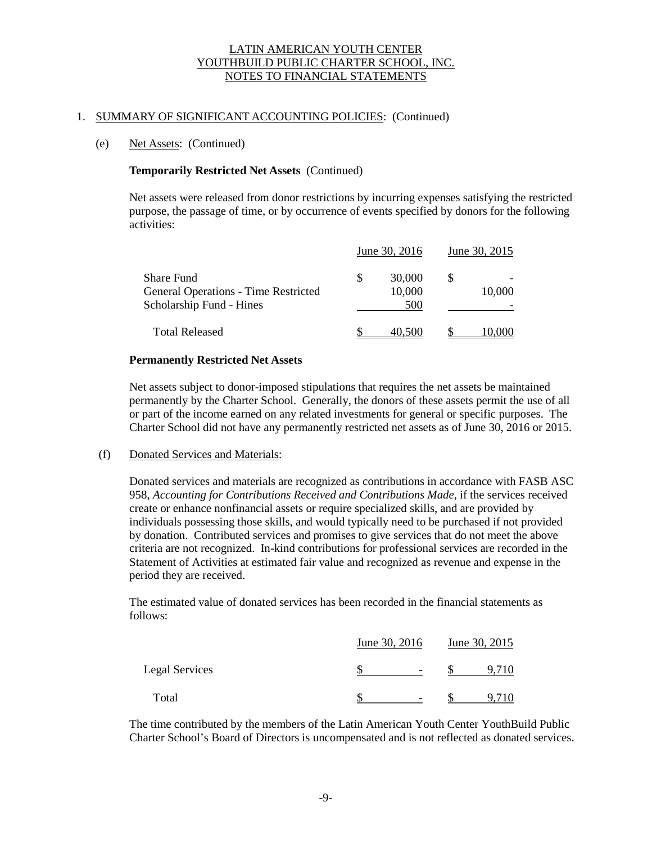### 1. SUMMARY OF SIGNIFICANT ACCOUNTING POLICIES: (Continued)

#### (g) Basic Programs:

YouthBuild PCS is an alternative high school for young people seeking to transform their lives by re-engaging in their education in a non-traditional school environment. YouthBuild PCS prepares students for post-secondary education and the workplace by offering, in English and Spanish, academic, vocational and workforce development programs.

YouthBuild PCS is comprised of four core program areas: academic instruction, workforce development, transition services, and support services. Collectively, these core programs allow YouthBuild PCS to provide comprehensive instruction, interventions, services, and support to students and successfully prepare them for the workforce and/or postsecondary education.

Our academic instruction program equips students with the knowledge and skills needed to obtain a high school equivalency credential. Students are instructed in five major content areas, which includes reading, writing, math, science, and social studies.

The Workforce Training Program is comprised of vocational education classes and on-site training. Together, the two components provide our students with the opportunity to develop employability skills and earn industry-recognized certifications.

The Transition Services Program works to ensure that students are successfully prepared to enter a career that will provide a living wage. Career development opportunities are offered including job fairs, job shadowing, internships and college tours. The Transition Services Program expense is included as part of the Workforce Training Program in the schedule of functional expenses.

Our Support Services Program has a singular focus to assist students with overcoming challenges, barriers and obstacles that impede their ability to be successful in school and, ultimately, in life. Specific services provided include substance abuse counseling, individual/ group counseling, assistance with obtaining housing, daycare, and medical insurance.

### **Respect, Community, Responsibility, Dignity**

YouthBuild PCS helps young people with challenging life circumstances to develop respect for themselves and others, find a sense of belonging and responsibility, and lead productive lives with dignity. The experience at YouthBuild PCS reflects real life and promotes a sense of personal responsibility through a consistently enforced code of conduct that fosters individual accountability and positive group norms. YouthBuild PCS students also receive a stipend to help meet family commitments, defray transportation costs, and to incentivize completion of the program.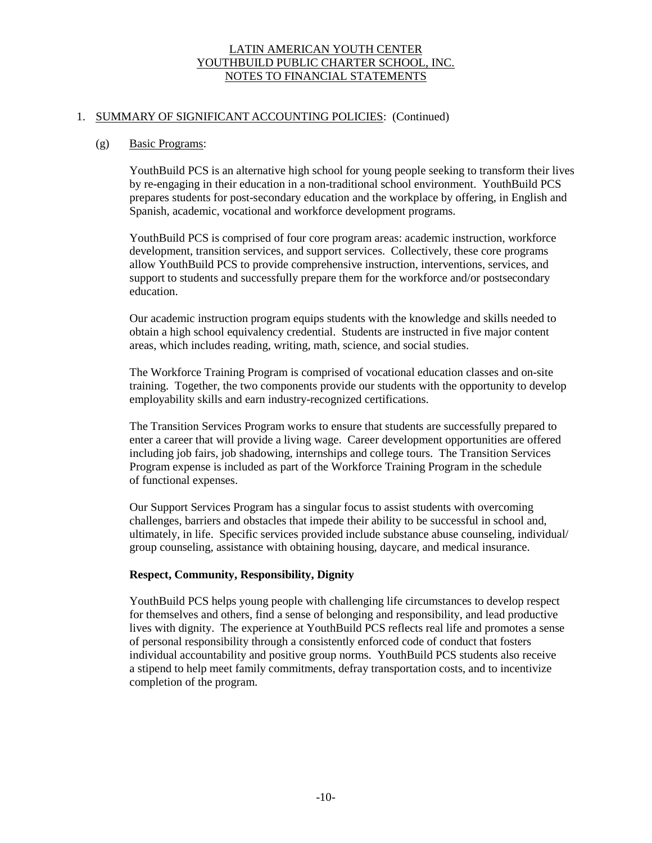### 1. SUMMARY OF SIGNIFICANT ACCOUNTING POLICIES: (Continued)

### (g) Basic Programs: (Continued)

### **A Win-Win Solution**

Statistics show that students who drop out of high school are more likely to live in poverty and suffer from unemployment, poor health, substance abuse, and violence. Such students need and deserve a second chance to establish stable, productive adult lives. While YouthBuild PCS encourages students to pursue higher educational goals, we recognize that some may choose to enter the workforce upon graduation. YouthBuild PCS ensures that our students have the skills and credentials to do so.

# **Locally Grounded Part of a Nation-Wide Movement**

The YouthBuild model has proven to be an effective change agent in the lives of disconnected youth. YouthBuild PCS is part of a 260+-member national network using an effective, tested model developed in 1978. Through YouthBuild, more than 130,000 youth nationwide have transformed their lives through education, rebuilt their communities, and created more than 28,000 units of affordable housing since 1994.

In addition to the strong national model, YouthBuild PCS leverages additional support from local nonprofit organizations, such as the Latin American Youth Center, that have extensive experience in providing services to underserved communities.

### (h) Functional Expense Allocation Policies and Procedures:

Management has elected to prepare a schedule of functional expenses that is presented as supplemental information to the financial statements. The schedule of functional expenses presents an allocation of each expense category between program services, general and administrative, and fundraising activities. Program service costs pertain to educating students. General and administrative costs pertain to supporting activities. Fundraising expenses relate to fundraising activities such as soliciting contributions and special events.

Management has established functional expense allocation policies and procedures based on a reasonable analysis of cost drivers and reasonable allocation estimates based on financial results and industry standards.

Direct costs, where identifiable, are allocated in whole to the appropriate functional category. Direct student expenses (textbooks, materials, instructional supplies, assessment material, contract educational services, and field trips) are allocated entirely to program services.

Personnel expenses for salaries, payroll taxes and employee benefit plans are allocated based on job descriptions and management estimates of time spent on particular activities. Personnel expenses for salaries are divided into employee categories (executive, teachers, other educational staff, etc.) and then a percentage of time spent on program services, general and administrative activities, and fundraising activities is applied. All other personnel expenses (benefits, payroll taxes, staff development) are allocated based on the weighted average allocation of the direct salaries.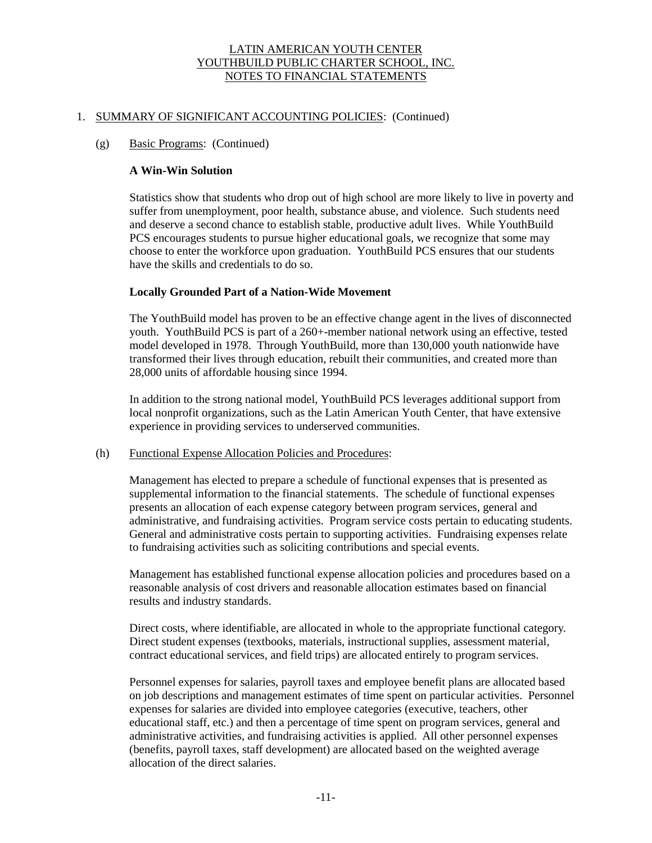# 1. SUMMARY OF SIGNIFICANT ACCOUNTING POLICIES: (Continued)

#### (h) Functional Expense Allocation Policies and Procedures: (Continued)

For other expenses where it would not be appropriate to designate 100 percent as a program service cost, general and administrative cost, or fundraising cost, the allocation formula for personnel expenses is utilized for cost allocation purposes.

### (i) Use of Estimates:

The preparation of financial statements in conformity with accounting principles generally accepted in the United States of America requires management to make estimates and assumptions that affect the reported amounts of assets, liabilities, the disclosure of contingent assets and liabilities at the date of the financial statements, and the reported amounts of support and revenues and expenses during the reporting period. Actual results could differ from those estimates.

### (j) Recognition of Salary Expense:

Salary expense is recognized in the year the service is rendered, which coincides with the academic year. Salaries unpaid at June 30 are recognized as expense and accrued salaries.

#### (k) Fair Value of Certain Financial Instruments:

Some of the Charter School's financial instruments are not measured at fair value on a recurring basis but nevertheless are recorded at amounts that approximate fair value due to their liquid or short-term nature. Such accounts include cash, accounts receivable, prepaid expenses, accounts payable, and accrued expenses.

### 2. ACCOUNTING FOR UNCERTAIN TAX POSITIONS:

Accounting principles generally accepted in the United States of America provide consistent guidance for the accounting for uncertainty in income taxes recognized in the Charter School's financial statements and prescribe a threshold of "more likely than not" for recognition of tax positions taken or expected to be taken in a tax return. The Latin American Youth Center YouthBuild Public Charter School performed an evaluation of uncertain tax positions for the year ended June 30, 2016, and determined that there were no matters that would require recognition in the financial statements or that may have any effect on its tax-exempt status. As of June 30, 2016, the statute of limitations for tax years 2012 through 2014 remains open with the U.S. federal jurisdiction or the various states and local jurisdictions in which the organization files tax returns. It is the Charter School's policy to recognize interest and/or penalties related to uncertain tax positions, if any, in income tax expense. As of June 30, 2016, the Charter School had no accruals for interest and/or penalties.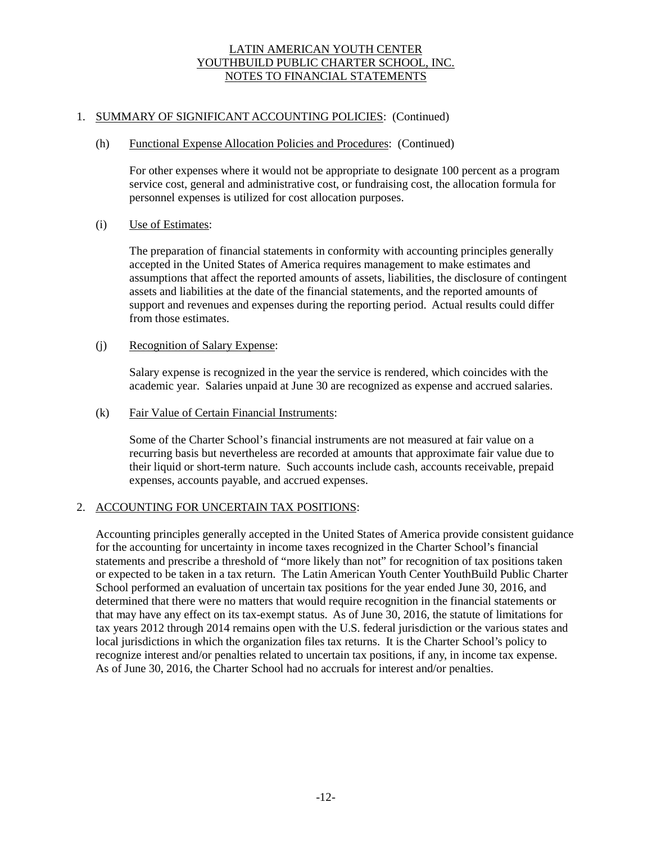# 3. CASH AND CASH EQUIVALENTS:

Cash at June 30, 2016 and 2015, totaled \$270,530 and \$129,956, respectively, and consisted of the following:

|                                          |  | June 30, 2016 | June 30, 2015 |         |  |
|------------------------------------------|--|---------------|---------------|---------|--|
| <b>Interest Bearing Checking Account</b> |  | 270,530       |               |         |  |
| Money Market Checking Account            |  |               |               | 25,337  |  |
| Non-Interest Bearing Checking Account    |  |               |               | 3,095   |  |
| Money Market Mutual                      |  |               |               | 101,524 |  |
| Total                                    |  |               |               |         |  |

For purposes of the cash flow statement and financial statement presentation, cash and cash equivalents are short term, highly liquid investments with maturities of three months or less.

As of June 30, 2015, \$101,524 was held in money market funds that are not federally insured. Management has minimized their risk related to these money funds by investing in high quality short term securities. The money market fund seeks to maintain a share price of \$1.00. These money market funds are managed by Keeney Financial Group of LPL Financial.

The Latin American Youth Center YouthBuild Public Charter School maintains its operating funds in one financial institution. These accounts are covered under the Federal Deposit Insurance Corporation (FDIC) Program. Federal Deposit Insurance Corporation insurance coverage is \$250,000 per account category. Deposits held in non-interest-bearing transaction accounts are aggregated with any interest-bearing deposits and the combined total insured up to \$250,000.

As of June 30, 2016 and 2015, \$53,210 and \$-0-, respectively, of the bank balance was deposited in excess of Federal Deposit Insurance Corporation limits. Due to increased cash flows at certain times during the year, the amount of funds at risk may have been greater than at year end. The Latin American Youth Center YouthBuild Public Charter School was at risk for the funds held in excess of the insured amounts. The Charter School has not experienced any losses related to this account and does not believe it is exposed to any significant credit risk on cash and cash equivalents.

### 4. INVESTMENTS:

The Latin American Youth Center YouthBuild Public Charter School invested in equity and debt securities during the year, which are subject to market fluctuations. Investments in debt and equity securities have been measured at fair value and are recorded as such in the statement of financial position. The fair values for marketable debt and equity securities are based on quoted market prices. Unrealized gains and losses are included in the change in net assets. Investments are managed by Keeney Financial Group of LPL Financial.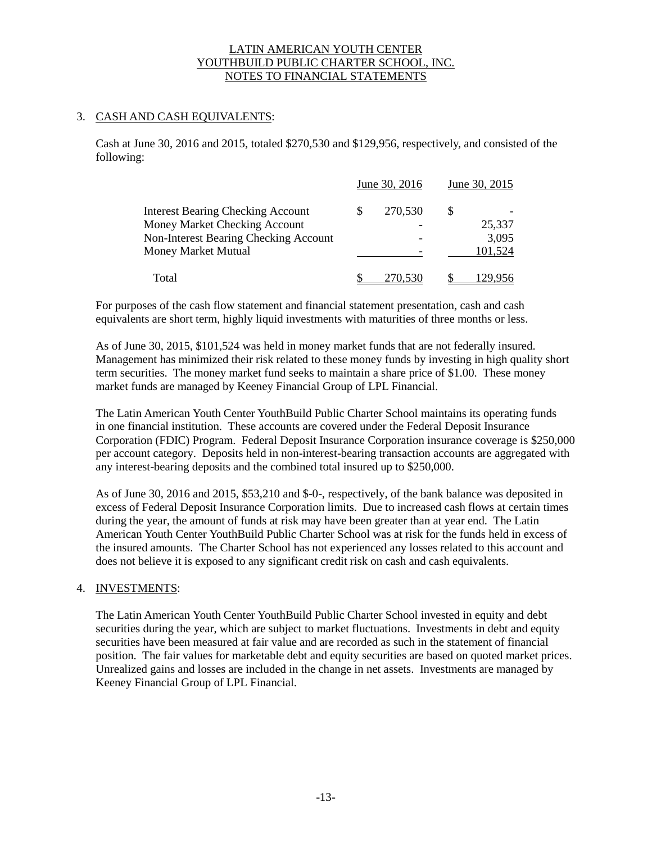### 4. INVESTMENTS: (Continued)

#### Fixed Income:

This category includes domestic and international fixed income securities that primarily focus in debt or debt-like securities, including debt obligations issued or guaranteed by United States or foreign governments. The investment manager will generally acquire positions in debt securities and currencies that are rated investment grade (i.e., rated at least BBB-) by Standard and Poor's Credit Market Services, a division of the McGraw-Hill Companies, Inc., or Baa3 by Moody's Investors Services, Inc., or if unrated, an equivalent rating determined by the investment manager in his sole discretion. The investment manager seeks to retain a reasonable diversification of investments across countries and, consequently, will normally incur some exposure to foreign currencies. As of the end of the periods, all investments in this category may be redeemed with no restrictions.

#### Equity:

This category includes investments in funds that focus on domestic and international equities. The underlying assets are liquid and the funds' managers provide details of those assets. As of the end of the periods, all of the investments in the category can be redeemed with no restrictions.

A comparison of the carrying value of these financial instruments at year end were as follows:

| June 30, 2015                                      | Cost               | Gross<br>Unrealized<br>Gains | Gross<br>Unrealized<br>Losses | Fair<br>Value      |
|----------------------------------------------------|--------------------|------------------------------|-------------------------------|--------------------|
| <b>Equity Securities</b><br><b>Debt Securities</b> | 304,930<br>137,395 | \$<br>19,050<br>4,653        | \$<br>(5.106)                 | 318,874<br>142,048 |
| Total - Investments                                | 442,325            | 23,703                       | (5,106)                       | 460,922            |

Unrealized gains and losses on investments are based on the difference between book value and fair value. Net unrealized gains/(losses) at June 30, 2016 and 2015, were \$-0- and \$18,597, respectively.

The composition of investment return at June 30, 2016 and 2015, all of which was recorded as unrestricted support, consisted of the following:

|                                       |   | June 30, 2016 | June 30, 2015 |          |  |
|---------------------------------------|---|---------------|---------------|----------|--|
| Interest                              | S | 872           | S             | 693      |  |
| Dividends                             |   | 3,475         |               | 16,916   |  |
| <b>Capital Gain Distributions</b>     |   |               |               | 5,770    |  |
| Realized Gains/(Loss)                 |   | 20,181        |               | (2,149)  |  |
| Unrealized Gain/(Loss) on Investments |   | (18, 597)     |               | (12,760) |  |
| Total                                 |   | 5.931         |               | 8.47(    |  |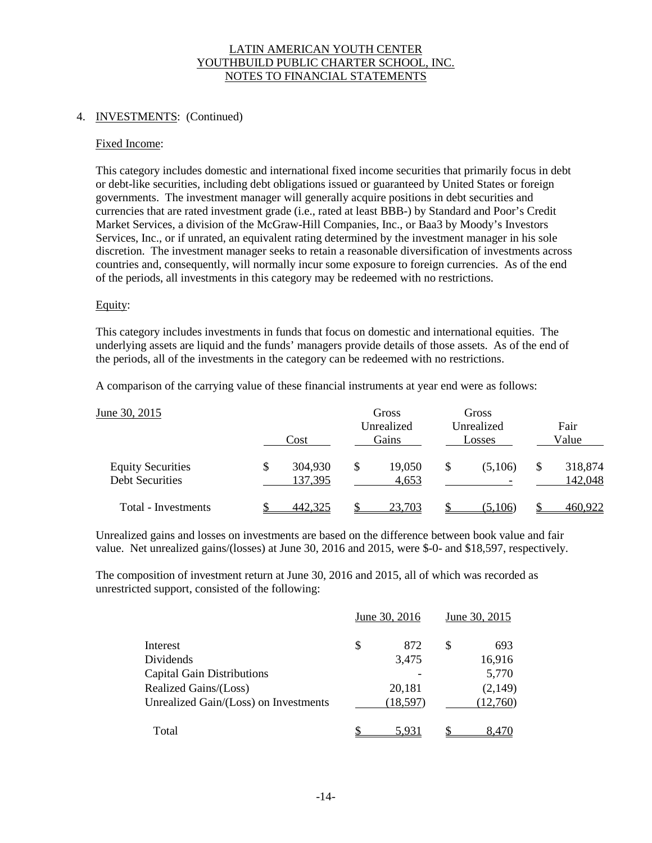# 5. FAIR VALUE MEASUREMENTS:

Financial Accounting Standards Board ASC No. 820-10, *Fair Value Measurements,* establishes a framework for measuring fair value. Fair value is defined as the price that would be received to sell an asset or paid to transfer a liability in an orderly transaction between market participants at the measurement date. That framework provides a fair value hierarchy that prioritizes the inputs to valuation techniques used to measure fair value. The hierarchy gives the highest priority to unadjusted quoted prices in active markets for identical assets or liabilities (level 1 measurements) and the lowest priority to unobservable inputs (level 3 measurements). The three levels of the fair value hierarchy under FASB ASC No. 820-10 are described below:

- Level 1 Valuation methodology are quoted prices (unadjusted) for identical assets or liabilities in active markets that the organization has the ability to access.
- Level 2 Inputs to the valuation methodology include:
	- Quoted prices for similar assets or liabilities in active markets;
	- Quoted prices for identical or similar assets or liabilities in inactive markets;
	- Inputs other than quoted prices that are observable for the asset or liability;
	- Inputs that are derived principally from or corroborated by observable market data by correlation or other means.

If the asset or liability has a specified (contractual) term, the Level 2 input must be observable for substantially the full term of the asset or liability.

Level 3 - Inputs to the valuation methodology are unobservable (supported by little or no market activity) and not corroborated by market data. Unobservable inputs reflect the organization's estimate of what hypothetical market participants would use to determine a transaction price for the asset or liability at the reporting date.

The asset's or liability's fair value measurement level within the fair value hierarchy is based on the lowest level of any input that is significant to the fair value measurement. Valuation techniques used need to maximize the use of observable inputs and minimize the use of unobservable inputs.

Following is a description of the valuation methodologies used for assets measured at fair value. There have been no changes in the methodologies used at June 30, 2016.

*Mutual Funds:* Valued at the net asset value ("NAV") of shares held by the organization at year end.

The methods described above may produce a fair value calculation that may not be indicative of net realizable value or reflective of future fair values. Furthermore, while the organization believes its valuation methods are appropriate and consistent with other market participants, the use of different methodologies or assumptions to determine the fair value of certain financial instruments could result in a different fair value measurement at the reporting date.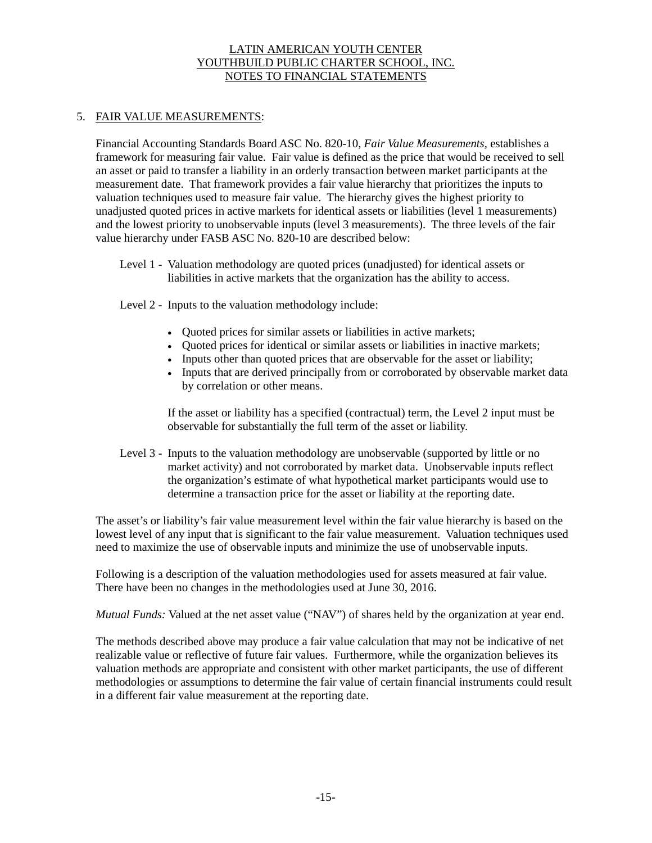# 5. FAIR VALUE MEASUREMENTS: (Continued)

The following table sets forth by level, within the fair value hierarchy, the organization's assets at fair value as of June 30, 2015:

|                                                    | Level 1            | Level 2 |                               | Level 3 |                          | Total              |
|----------------------------------------------------|--------------------|---------|-------------------------------|---------|--------------------------|--------------------|
| <b>Equity Securities</b><br><b>Debt Securities</b> | 318,874<br>142,048 |         | $\overline{\phantom{0}}$<br>- |         | $\overline{\phantom{0}}$ | 318,874<br>142,048 |
| <b>Total Assets at Fair Value</b>                  | 460.922            |         |                               |         |                          | 460.922            |

#### 6. ACCOUNTS AND GRANTS RECEIVABLE:

Accounts and grants receivable are current and considered to be fully collectible by management. Balances as of June 30, 2016 and 2015 consisted of the following:

|                                                                                                                                                           | June 30, 2016         | June 30, 2015 |                           |
|-----------------------------------------------------------------------------------------------------------------------------------------------------------|-----------------------|---------------|---------------------------|
| <b>Accounts Receivable</b><br>Per Pupil Funding - OSSE<br>Reimbursable Expenses                                                                           | \$<br>15,424<br>3,366 | \$            | 36,518<br>2,344           |
| Employee<br>Total                                                                                                                                         | 2,317<br>21,107       |               | 200<br>39,062             |
| <b>Grants Receivable</b>                                                                                                                                  | \$                    | \$            |                           |
| AmeriCorps<br>District of Columbia - Vocational Education<br>U.S. Department of Labor - YouthBuild Program<br>D.C. Grant (OSSE) - Schools Technology Fund | 50,803<br>28,975      |               | 11,244<br>24,020<br>5,704 |
| Total                                                                                                                                                     | 79.778                |               | 40,968                    |

The Charter School's accounts and grants receivable consists of unsecured amounts due from funding sources whose ability to pay is subject to changes in general economic conditions. Because the Charter School does not require collateral, it is at credit risk for the amounts owed to it throughout the year and at year end.

Accounts and grants receivable are stated at the amount management expects to collect from outstanding balances. Management provides for probable uncollectable amounts through a provision for bad debt expense and an adjustment to a valuation allowance based on its assessment of the current status of individual accounts. Balances that are still outstanding after management has used reasonable collection efforts are written off through a charge to the valuation allowance and a credit to accounts or grants receivable. Management believes that an allowance was not required based on its evaluation of collectability of receivables for the years ended June 30, 2016 and 2015.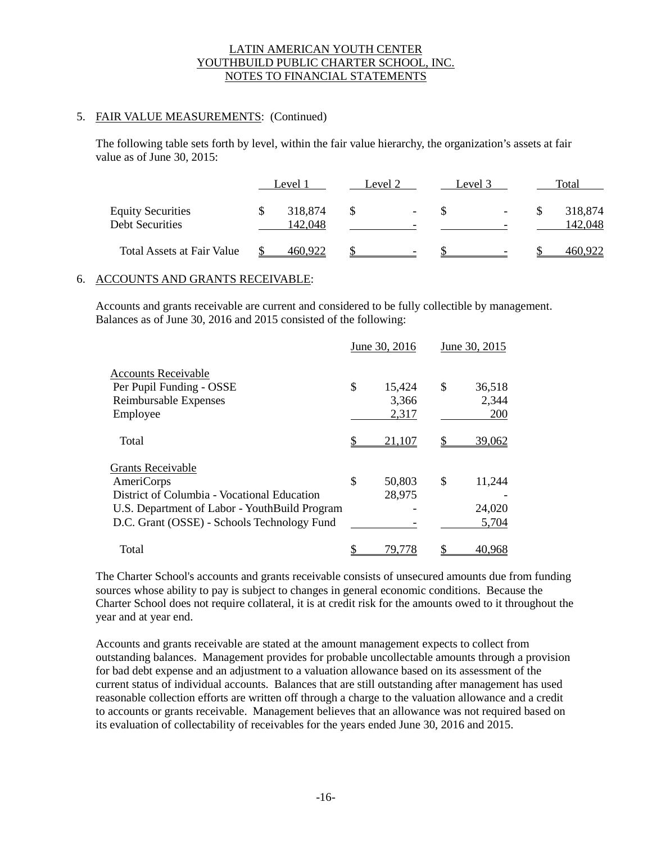# 6. ACCOUNTS AND GRANTS RECEIVABLE: (Continued)

Trade receivables related to program service fees are recognized as revenue on the accrual basis of accounting at the time the program activity has occurred. Credit is extended for a period of 60 days with no interest accrual at which time payment is considered delinquent. Trade receivables are written off as uncollectable when payment has not been received after 180 days.

### 7. FIXED ASSETS:

Furniture and equipment are recorded at cost, or in the case of contributed property at the fair market value at the date of contribution. If an expenditure in excess of \$500 results in an asset having an estimated useful life which extends substantially beyond the year of acquisition, the expenditure is capitalized at cost and depreciated over the estimated useful lives of the assets. When assets are retired, or otherwise disposed of, the cost and related accumulated depreciation is removed from the accounts and any resulting gain or loss is reflected in income for the period. Depreciation has been provided on the straight-line method over the estimated useful lives of the assets. Depreciation expense for the years ended June 30, 2016 and 2015 was \$17,919 and \$19,035, respectively. Maintenance and repairs are charged to expenses as incurred. Major classifications of fixed assets and their estimated useful lives are as summarized below:

### June 30, 2016

|                                                                         | Depreciable<br>Life<br>Cost    |                                    | Accumulated<br>Depreciation       | Net Book<br>Value               |  |  |
|-------------------------------------------------------------------------|--------------------------------|------------------------------------|-----------------------------------|---------------------------------|--|--|
| Leasehold Improvements<br><b>Computer Equipment</b><br>Office Equipment | 14 Years<br>3 Years<br>5 Years | \$<br>130,757<br>74,838<br>124,396 | \$<br>66,325<br>60,871<br>119,240 | \$<br>64,432<br>13,967<br>5,156 |  |  |
| Total                                                                   |                                | 329,991                            | 246,436<br>S                      | 83,555                          |  |  |
| June 30, 2015                                                           |                                |                                    |                                   |                                 |  |  |
|                                                                         | Depreciable<br>Life            | Cost                               | Accumulated<br>Depreciation       | Net Book<br>Value               |  |  |
| Leasehold Improvements<br><b>Computer Equipment</b><br>Office Equipment | 14 Years<br>3 Years<br>5 Years | \$<br>130,757<br>61,052<br>124,397 | \$<br>56,941<br>54,458<br>117,118 | \$<br>73,816<br>6,594<br>7,279  |  |  |
| Total                                                                   |                                | 316,206<br>\$                      | 228,517<br>S                      | 87,689                          |  |  |

### 8. REFUNDABLE ADVANCES:

The Latin American Youth Center YouthBuild Public Charter School records cash receipts on grants in excess of costs incurred on grants as refundable advances until they are expended for the purposes of the grant, at which time they are recognized as unrestricted support. The balance of refundable advances as of June 30, 2016 and 2015 was \$33,025 and \$2,572, respectively.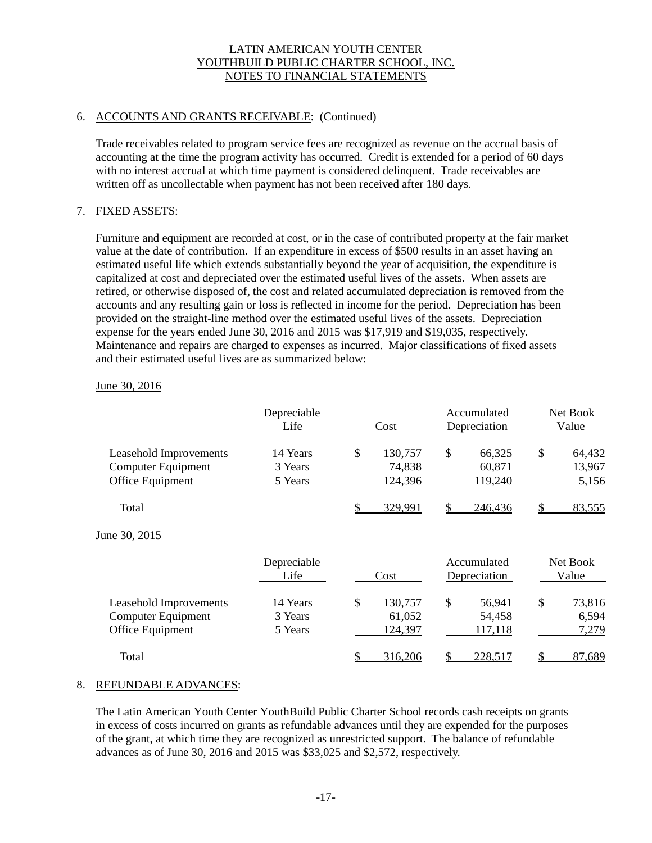# 9. DISTRICT OF COLUMBIA PUBLIC CHARTER SCHOOL BOARD CONTRACT:

The Charter School was approved by the District of Columbia Public Charter School Board to operate a charter school in the District of Columbia. The District of Columbia Public Charter School Board (DCPCSB) is responsible for the ongoing oversight of the School's fiscal management and academic acceptability. The contract dated May 24, 2005, provides for a 15-year charter effective the date of first operation. If not renewed, the charter contract will expire on or about January 1, 2020. The charter contract may be renewed for successive 15-year periods if the DCPCSB deems that the Latin American Youth Center YouthBuild Public Charter School is in compliance with its charter contract and District statutory provisions. In addition, in accordance with the Charter School Act, the DCPCSB is required to review YouthBuild's charter every five years, with the first such review having occurred in the spring of 2015. The DCPCSB may revoke (or not renew) a charter school contract if a school violates applicable law, materially violates the charter contract or fails to meet the student academic achievement expectations set forth in the charter contract. Consequently, management does not anticipate non-renewal or revocation of its charter.

As part of the agreement with the DCPCSB, the Charter School may be charged a public charter school fee, which is not to exceed one percent of the total revenues (less philanthropic and investment revenues) within the annual budget to cover the costs of undertaking the ongoing administrative responsibilities of the Board. For the year ended June 30, 2016, the Charter School incurred \$28,688 in administrative fees.

The charter contract provides that YouthBuild may educate up to a predetermined number of students. However, this enrollment limit may be raised upon notification to and acceptance by the DCPCSB. The Charter School enrollment ceiling for the year ended June 30, 2016, was not permitted to be greater than 115 students. Audit enrollment for the 2015/2016 year averaged between 62 and 115 students and enrollment for the 2014/2015 year averaged between 53 and 112 students.

#### 10. PER-PUPIL FUNDING ALLOCATION:

The School receives local funding from the District of Columbia in the form of per-pupil educational allotments and facility allotments. This funding is based on the equivalent number of full-time students and is determined annually. For the year ended June 30, 2016, the per-student rate was \$13,668 for the educational allotment and \$3,124 for the facility allotment. For the year ended June 30, 2015, the per-student rate was \$13,668 for the educational allotment and \$3,072 for the facility allotment. Additional allotments were made for Special Education Services and English as a Second Language. Per-pupil funding for the years ended June 30, 2016 and 2015 were as follows:

|                              | June 30, 2016 | June 30, 2015 |
|------------------------------|---------------|---------------|
| Grade Level - Alternative    | 1,571,875     | 1,530,870     |
| <b>Special Education</b>     | 299,827       | 184,667       |
| English as a Second Language | 102,324       | 32,558        |
| <b>Facilities Allowance</b>  | 359,260       | 344,064       |
| Total                        | 2.333.286     | 2.092.159     |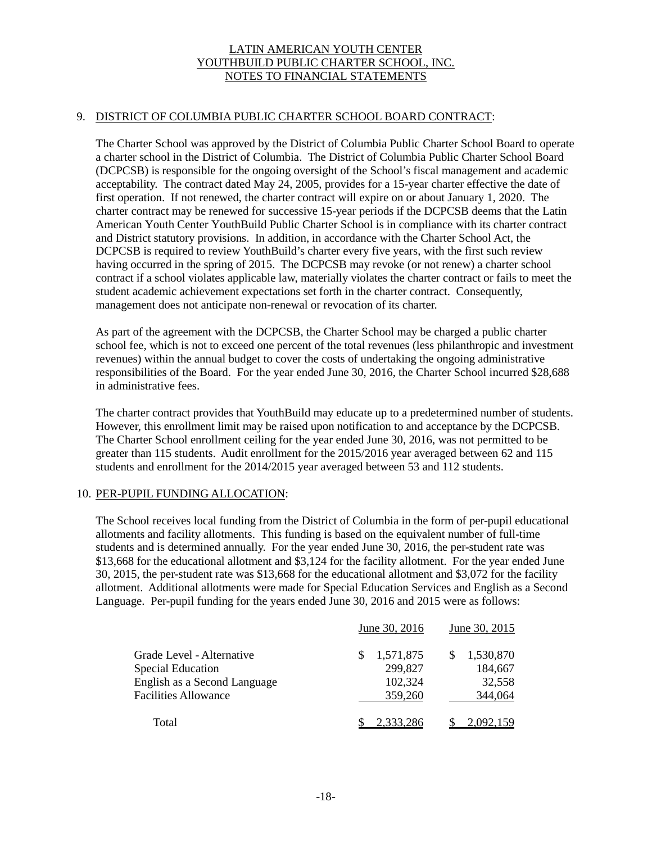# 11. FEDERAL ENTITLEMENTS AND GRANTS:

During the years ended June 30, 2016 and 2015, the Latin American Youth Center YouthBuild Public Charter School participated in the following federal award programs:

|                                                                                                       |  | June 30, 2016               | June 30, 2015 |                             |  |  |
|-------------------------------------------------------------------------------------------------------|--|-----------------------------|---------------|-----------------------------|--|--|
| Department of Labor - YouthBuild Program<br>District of Columbia - Vocational Education<br>AmeriCorps |  | 455,161<br>55,283<br>60.943 |               | 493,539<br>50,565<br>60,430 |  |  |
| Total                                                                                                 |  | 571.387                     |               | 604.534                     |  |  |

YouthBuild is a youth and community development program that simultaneously addresses several core issues facing low-income communities: housing, education, employment, crime prevention, and leadership development.

The YouthBuild model balances in-school learning, geared toward a high school diploma or passing the General Education Development (GED) test, and construction skills training, geared toward a career placement for the youth. The in-school component is an alternative education program that assists youth who are often significantly behind in basic skills to obtain a high school diploma or GED credential. The primary target populations for YouthBuild are high school dropouts that may also be adjudicated youth, youth aging out of foster care, and other at-risk youth populations. The YouthBuild model enables these youth to access the education they need to move on to postsecondary and high-growth, high demand jobs which will enable them to prosper in the  $21<sup>st</sup>$  century economy. The funding for this grant is authorized by Subtitle D of Title I of the Workforce Investment Act (WIA).

### 12. COMMITMENTS:

### Building Lease:

The Latin American Youth Center YouthBuild Public Charter School originally entered into a sublease agreement with the Latin American Youth Center effective for a one year period commencing on July 1, 2006, and ending on June 30, 2007, for the rental of a building located at 3014 14th Street, NW, Washington DC. This lease was renewed on July 1, 2007 for an additional two year period through June 30, 2009.

During July 2008, the Latin American Youth Center YouthBuild Public Charter School executed an amendment to the current lease agreement which was to expire on June 30, 2009 by extending the lease term until June 30, 2023. The lease amendment increased the rented square footage from 6,962 square feet to 12,006 square feet and increased the monthly rental payment to \$22,000 per month with yearly increases of 3%. As of June 30, 2016, this lease called for monthly lease payments of \$26,269. The terms of the new lease commenced on May 15, 2009. On April 8, 2016, the Latin American Youth Center provided a rent reduction of \$3,000 per month for the period of July 1, 2016, through June 30, 2017. On July 1, 2017, base monthly rent will increase to the original amounts per the terms of the lease amendment signed during July 2008.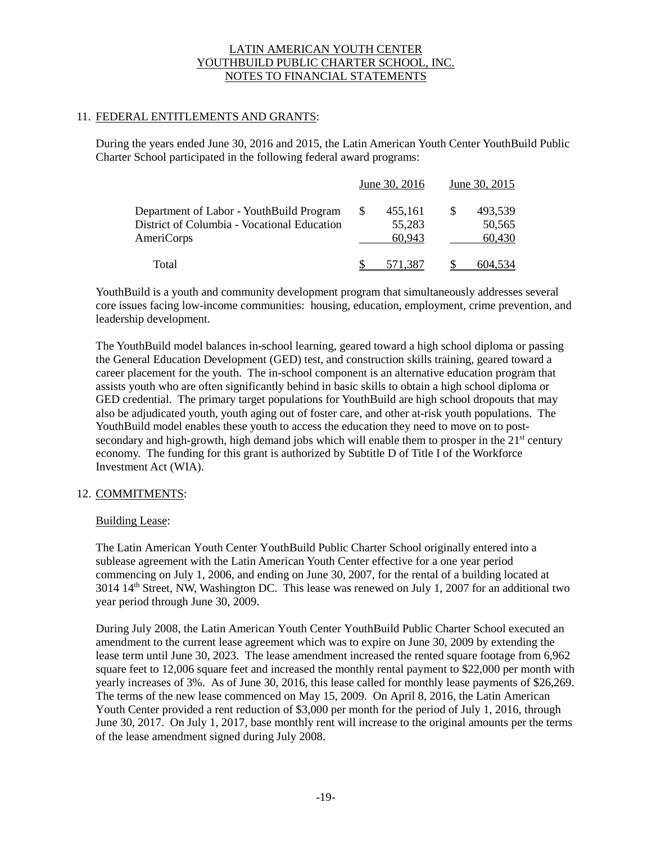# 12. COMMITMENTS: (Continued)

#### Building Lease: (Continued)

The School is obligated to pay a proportion of the annual increase in operating cost of the leased property in the event the landlord bills for such costs. Rental expense for the years ended June 30, 2016 and 2015 was \$315,230 and \$306,814, respectively. Future minimum rental lease payment requirements for the next five years are as follows:

| Year Ended June 30, |               |
|---------------------|---------------|
| 2017                | \$<br>243,230 |
| 2018                | 335,263       |
| 2019                | 345,321       |
| 2020                | 355,681       |
| 2021                | 366,351       |
|                     |               |
| Total               |               |
|                     |               |

#### Copier Leases:

The Latin American Youth Center YouthBuild Public Charter School entered into an operating lease with Wells Fargo Financial Leasing, Inc., on October 12, 2012, for the rental of a Copystar 4550CI photocopier. This lease called for thirty-sixty (36) monthly payments of \$364 commencing on October 27, 2012. Rental expense for the years ending June 30, 2016 and 2015 was \$728 and \$4,368, respectively.

The Latin American Youth Center YouthBuild Public Charter School entered into an operating lease with Wells Fargo Financial Leasing, Inc., on September 8, 2015, for the rental of a Copystar 4551CI photocopier. This lease calls for thirty-sixty (36) monthly payments of \$399 commencing on September 10, 2015. Rental expense for the year ending June 30, 2016, was \$4,378. Future minimum payments due under this lease are as follows:

| Year Ended June 30, |             |
|---------------------|-------------|
| 2017                | \$<br>4,788 |
| 2018                | 4,788       |
| 2019                | 918         |
|                     |             |
| Total               |             |
|                     |             |

### 13. RELATED PARTY TRANSACTIONS:

### Latin American Youth Center:

The Latin American Youth Center YouthBuild Public Charter School was formed as a not-for-profit corporation on October 7, 2004, by the Latin American Youth Center, a separate  $501(c)(3)$ organization. Prior to its formation, the YouthBuild Public Charter School operated as a separate program of the Latin American Youth Center.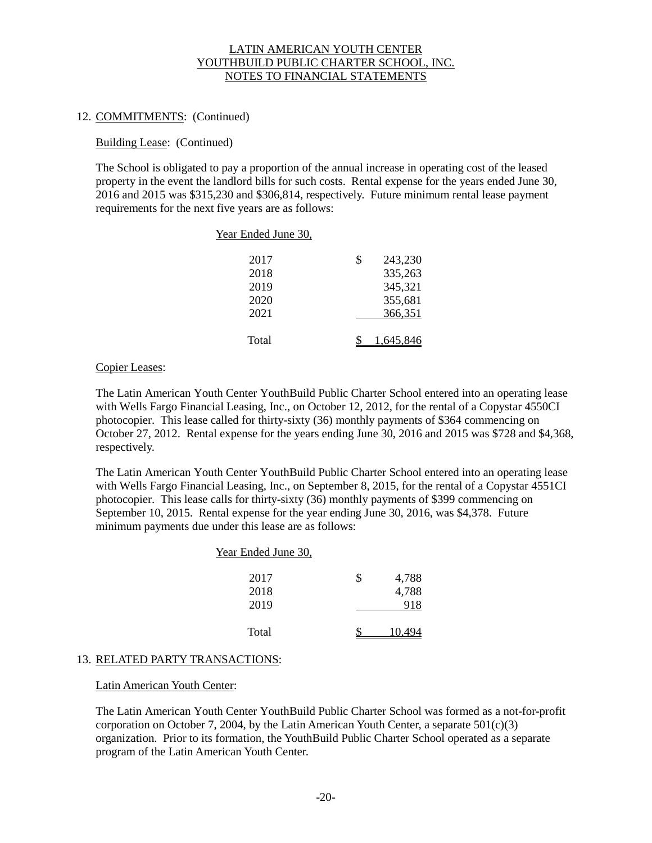# 13. RELATED PARTY TRANSACTIONS: (Continued)

#### Latin American Youth Center: (Continued)

The Latin American Youth Center received a grant from the U.S. Department of Housing and Urban Development to assist in the operations of the YouthBuild Program. Various transactions occurred during the year between the two organizations including the following:

- a) Office space is subleased by the School from the Latin American Youth Center. As of June 30, 2016, monthly payments were required in the amount of \$26,269. Rent expense to the Latin American Youth Center for the years ended June 30, 2016 and 2015, was \$315,230 and \$306,814, respectively.
- b) During the year ended June 30, 2015, the charter school reimbursed the Latin American Youth Center an amount of \$1,200 for the rental of a parking space.

#### Contributions:

Various board members of the Latin American Youth Center YouthBuild Public Charter School, organizations for which they are affiliated, and relatives of board members gave contributions to the organization in the amount of \$2,000 and \$668 during the years ended June 30, 2016 and 2015, respectively.

The National Chapter of YouthBuild USA gave various grants to the Latin American Youth Center YouthBuild Public Charter School during the years ended June 30, 2016 and 2015.

Total grants were as follows:

|                                                               | June 30, 2016 | June 30, 2015 |        |  |  |
|---------------------------------------------------------------|---------------|---------------|--------|--|--|
| National and Community Service -<br>Passed Through AmeriCorps | 60.943        |               | 60.430 |  |  |
| Total                                                         | 60.943        |               | 60.430 |  |  |

#### 14. CONCENTRATIONS:

#### Revenues:

Based on the nature and purpose of the Latin American Youth Center YouthBuild Public Charter School, significant revenues are received through parties interested in helping out-of-school youth. The Latin American Youth Center YouthBuild Public Charter School receives public funds from the DC government based on the number of students they enroll according to the Uniform Per Student Funding Formula developed by the Mayor and City Council. This per pupil allocation is supplemented with extra funds for students with special needs.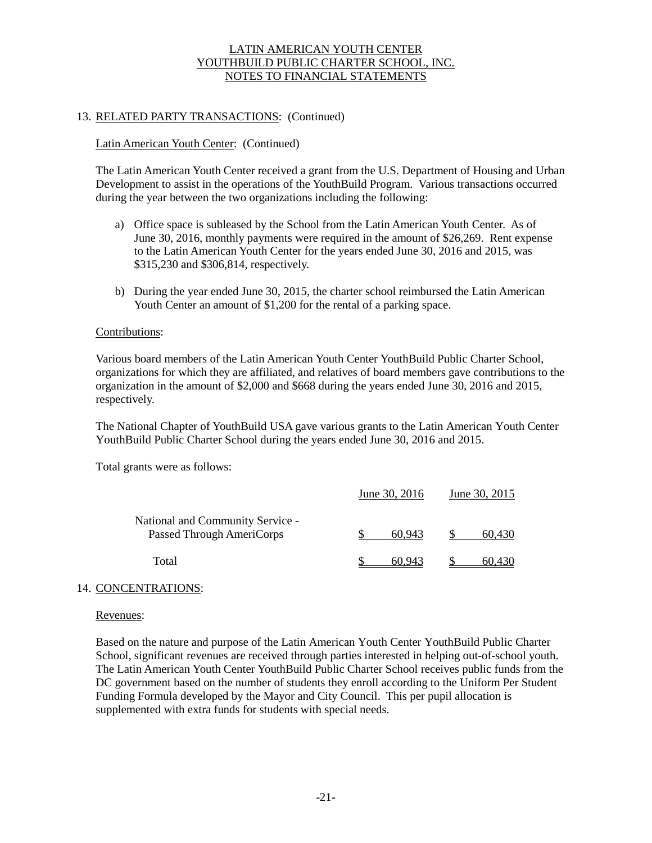### 14. CONCENTRATIONS: (Continued)

#### Revenues: (Continued)

During the years ended June 30, 2016 and 2015, seventy-eight percent (78%) and seventy-six percent (76%), respectively, of total support was received from the District of Columbia in the form of per pupil funding. In addition, fifteen percent (15%) and eighteen percent (18%), respectively, was received as a federal grant under the YouthBuild Program for the years ended June 30, 2016 and 2015.

The Latin American Youth Center YouthBuild Public Charter School is limited to enrolling students that are residents of the District of Columbia. As a DC Public Charter School, the School must compete for students against the DC Public School system as well as other DC Public Charter Schools.

### 15. CONTINGENCIES:

The Latin American Youth Center YouthBuild Public Charter School was granted its charter by the District of Columbia Public Charter School Board and the District of Columbia Board of Education, authorized under the District of Columbia School Reform Act of 1995, Public Law 104-134, as amended. The Latin American Youth Center YouthBuild Public Charter School has no reason to believe that this relationship will be discontinued in the foreseeable future. However, any interruption of this relationship (i.e., the failure to continue this charter authorization or withholding funds) could adversely affect ability to finance ongoing operations.

The Charter School depends on per pupil allocations, grants, and contributions for a significant portion of its revenues. The ability of the sources of revenues to continue giving amounts comparable with prior years may be dependent upon future economic conditions and continued deductibility for income tax purposes of grants and contributions to the School. While the Charter School's board of directors and management believe the Charter School has the resources to continue its programs, its ability to do so, and the extent to which it continues, may be dependent on the above factors.

Laws and regulations governing charter schools are complex and subject to interpretation. For instance, the Charter School receives funding from various federal and state grant reimbursement programs, which are governed by various rules and regulations of the respective grantor agencies. To the extent that the Charter School has not complied with the rules and regulations governing the grants, refunds of any money received may be required. The Latin American Youth Center YouthBuild Public Charter School believes that it is in compliance with all applicable laws and regulations and is not aware of any pending or threatened investigations involving allegations of potential wrongdoing. Therefore, no provision has been recorded in the accompanying financial statements for such contingencies. The viability of public charter schools and funding for these schools is dependent on the consensus of current and future administration of the District of Columbia Government. Any future change in dynamics could adversely affect the operations of public charter schools.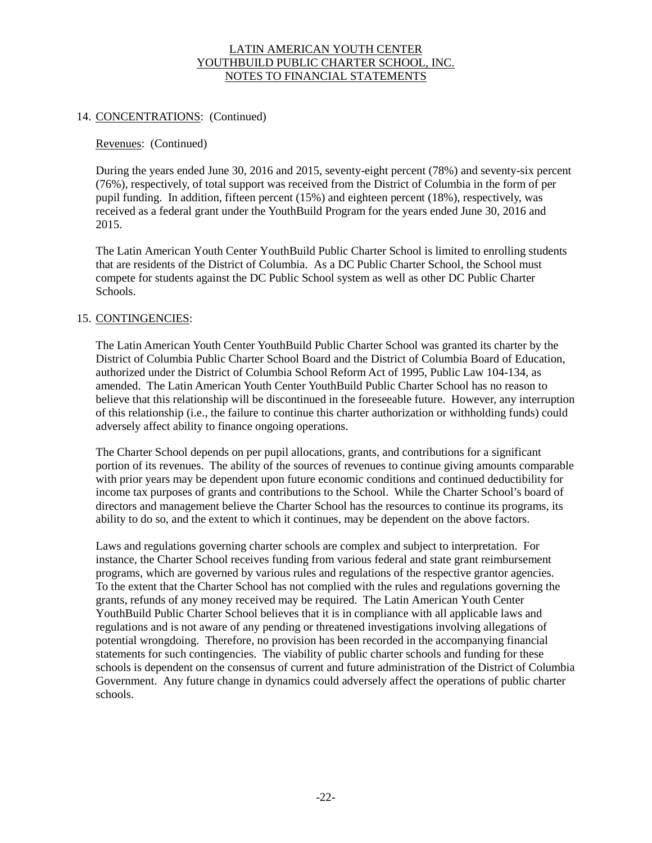#### 16. SUBSEQUENT EVENTS:

#### Financial Statement Preparation:

In preparing these financial statements, management has evaluated events and transactions for potential recognition or disclosure through October 6, 2016, the date the financial statements were available to be issued, and has determined that no adjustments are necessary to the amounts reported in the accompanying financial statements.

### 17. FUNDRAISING:

During the years ended June 30, 2016 and 2015, expenses incurred for the purpose of fundraising were  $\overline{$}17.887$  and \$26,408, respectively.

#### 18. ADVERTISING:

Advertising was conducted for the purpose of promoting open enrollment and student recruiting to the school and to provide outreach to the community. In addition, advertising costs were incurred for the purpose of teacher recruiting. Advertising costs and recruiting costs are expensed when incurred. Direct advertising expenses were \$14,127 and \$11,586 for the years ended June 30, 2016 and 2015, respectively.

#### 19. RETIREMENT PLAN:

#### 401(k) Plan:

The Latin American Youth Center YouthBuild Public Charter School provides pension benefits for its employees through a defined contribution 401(k) retirement plan which is currently administered by John Hancock. In a defined contribution plan, benefits depend solely on amounts contributed to the plan plus investment earnings. Provisions of the plan allow for the employees to contribute up to the statutory limits set by the Internal Revenue Code.

Through the calendar year ended December 31, 2015, the School was required to make employer non-elective safe harbor contributions of 3% of annual employee compensation for employees with one or more years of employment. Authorized entry dates into the plan were the next calendar month following the date that the eligibility requirements are met.

Effective January 1, 2016, the School elected to discontinue the employer non-elective safe harbor contribution and adopt a discretionary matching allocation formula for all employees that meet one full month of service. Whether a match is to be made and the percentage limitation for such match is determined on an annual calendar year basis.

Participants are 100% vested in their contributions and the 3% employer safe harbor contribution. There is no unfunded past service liability. The School's contributions for the years ended June 30, 2016 and 2015 were \$28,361 and \$15,678, respectively.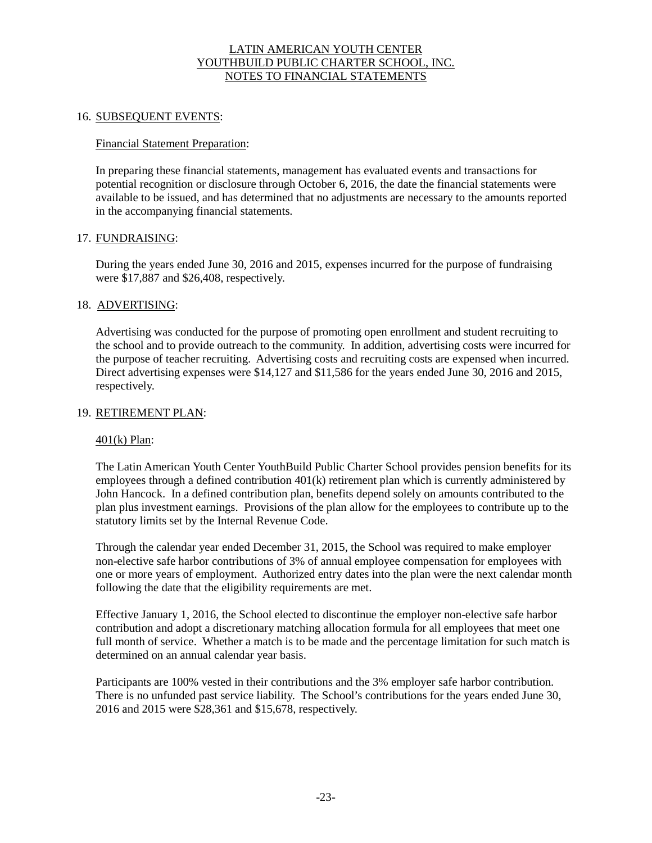#### 20. EMPLOYEE BENEFITS:

The cost of fringe benefits incurred for the years ended June 30, 2016 and 2015 consisted of the following:

|                               | June 30, 2016 | June 30, 2015 |         |  |
|-------------------------------|---------------|---------------|---------|--|
| Social Security/Medicare      | \$<br>95,684  | \$            | 101,678 |  |
| <b>Health Insurance</b>       | 95,564        |               | 74,519  |  |
| Life and Disability Insurance | 4,844         |               | 7,310   |  |
| Retirement                    | 28,361        |               | 15,678  |  |
| Unemployment                  | 11,442        |               | 12,402  |  |
| <b>Workers Compensation</b>   | 16,940        |               | 21,898  |  |
| <b>Tuition Reimbursement</b>  |               |               | 4,335   |  |
| De Minimus                    |               |               | 4,884   |  |
| Total                         |               |               |         |  |

#### Flexible Benefits Plan:

The Latin American Youth Center YouthBuild Public Charter School adopted a Section 125 Flexible Benefits Plan (Cafeteria Plan). Under this plan, employees are permitted to use pre-tax benefit dollars through payroll deduction to pay for health and dental insurance premiums, and dependent care expenses.

### Educational Assistance Program:

The Latin American Youth Center YouthBuild Public Charter School adopted a Section 127 Employee's Educational Assistance Program. Under this plan, payments up to an amount of \$5,250 paid on behalf of an employee for tuition, fees, books and supplies are considered to be a tax free benefit.

### 21. OCCUPANCY COST:

The cost of occupancy for the years ended June 30, 2016 and 2015 consisted of the following:

|                              | June 30, 2016 | June 30, 2015 |         |  |
|------------------------------|---------------|---------------|---------|--|
| Rent                         | \$<br>315,230 | \$            | 306,814 |  |
| Janitorial Services/Supplies | 34,320        |               | 34,320  |  |
| Depreciation - Leasehold     | 9,384         |               | 9,384   |  |
| Maintenance and Repair       | 9,986         |               | 9,098   |  |
| Utilities                    | 10,793        |               | 9,848   |  |
| Storage                      | 1,531         |               | 1,124   |  |
| Pest Control                 | 340           |               | 530     |  |
| Total                        | 381,584       |               | 371,118 |  |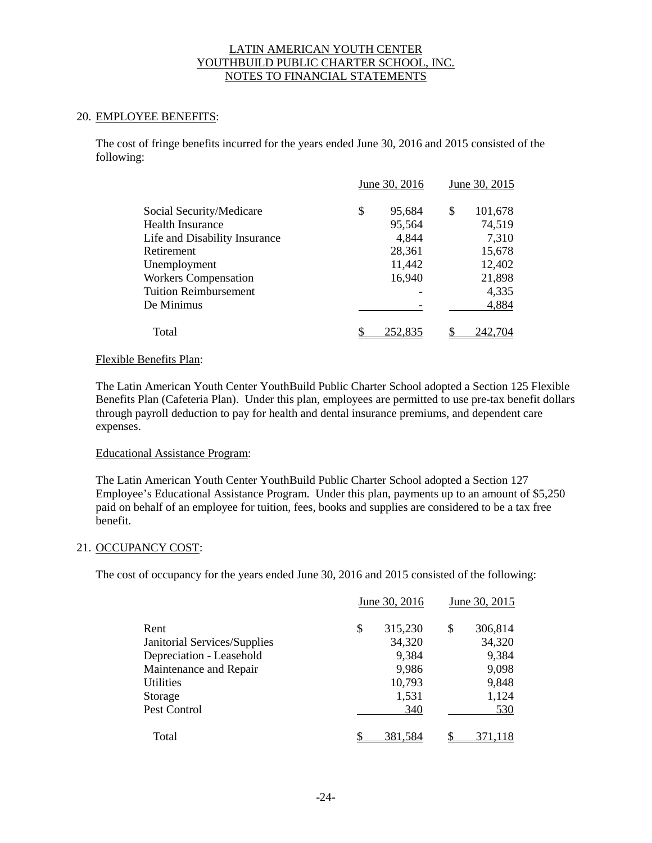### 22. CONSOLIDATION:

Management has applied the principles of FASB ASC 958-810, *Reporting of Related Entities by Notfor-Profit Organizations*, in assessing the need to consolidate the financial statements of the School with those of the Latin American Youth Center. Under FASB ASC 958-810, consolidation should occur if both an economic interest between the organizations and control by a majority of common board members exist. Based on the criteria stipulated in the pronouncement, management has determined that financial statement consolidation is not appropriate for the fiscal years ending June 30, 2016 and 2015. Therefore, the accompanying financial statements reflect only the activity and net assets of the School.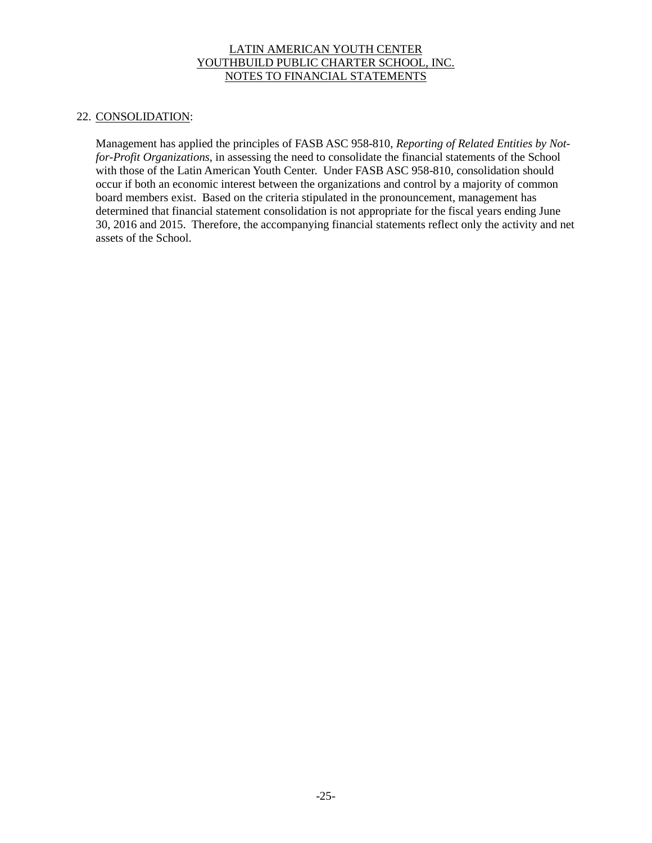|                                                  | Total           |               | Educational<br>Services |               | General and<br>Administrative |               | Fundraising |
|--------------------------------------------------|-----------------|---------------|-------------------------|---------------|-------------------------------|---------------|-------------|
|                                                  |                 |               |                         |               |                               |               |             |
| Personnel, Salaries and Benefits:                |                 |               |                         |               |                               |               |             |
| Principal/Executive Salaries                     | \$<br>197,181   | \$            | 125,094                 | \$            | 64,775                        | \$            | 7,312       |
| Teachers' Salaries                               | 383,853         |               | 383,853                 |               |                               |               |             |
| <b>Workforce Training</b>                        | 281,875         |               | 281,875                 |               |                               |               |             |
| <b>Support Services</b>                          | 237,330         |               | 237,330                 |               |                               |               |             |
| <b>Clerical Services</b>                         | 39,672          |               | 29,754                  |               | 9,918                         |               |             |
| <b>Business Operations Salaries</b>              | 129,385         |               | 51,670                  |               | 73,546                        |               | 4,169       |
| <b>Employee Benefits</b>                         | 145,709         |               | 127,374                 |               | 17,017                        |               | 1,318       |
| <b>Payroll Taxes</b>                             | 107,126         |               | 93,646                  |               | 12,511                        |               | 969         |
| Leased Employees and Temporary Help              | 1,798           |               |                         |               | 1,798                         |               |             |
| <b>Staff Development Costs</b>                   | 3,954           |               | 3,954                   |               |                               |               |             |
| <b>Other Staff Related Expenses</b>              | 3,502           |               | 3,061                   |               | 409                           |               | 32          |
| Total Personnel, Salaries and Benefits           | \$<br>1,531,385 | \$            | 1,337,611               | \$            | 179,974                       | \$            | 13,800      |
| <b>Direct Student Costs:</b>                     |                 |               |                         |               |                               |               |             |
| <b>Student Supplies and Food</b>                 | \$<br>9,056     | \$            | 9,056                   | \$            |                               | \$            |             |
| <b>Textbooks and Subscriptions</b>               | 9,922           |               | 9,922                   |               |                               |               |             |
| <b>Student Assessment Materials</b>              | 10,748          |               | 10,748                  |               |                               |               |             |
| <b>Student Uniforms</b>                          | 22,981          |               | 22,981                  |               |                               |               |             |
| <b>Contracted Instructional/Student Services</b> | 65,421          |               | 65,421                  |               |                               |               |             |
| <b>Student Travel/Field Trips</b>                | 8,378           |               | 8,378                   |               |                               |               |             |
| <b>Student Stipends</b>                          | 235,927         |               | 235,927                 |               |                               |               |             |
| <b>Student Recruiting</b>                        | 13,481          |               | 13,481                  |               |                               |               |             |
| <b>Other Student Costs</b>                       | 10,704          |               | 10,704                  |               |                               |               |             |
| <b>Total Direct Student Costs</b>                | \$<br>386,618   | \$            | 386,618                 | \$            |                               | \$            |             |
| <b>Occupancy Costs:</b>                          |                 |               |                         |               |                               |               |             |
| Rent                                             | \$<br>315,230   | \$            | 275,564                 | \$            | 36,816                        | \$            | 2,850       |
| Storage                                          | 1,531           |               | 1,338                   |               | 178                           |               | 15          |
| <b>Utilities</b>                                 | 10,793          |               | 9,434                   |               | 1,261                         |               | 98          |
| Depreciation - Leasehold Improvement             | 9,384           |               | 8,203                   |               | 1,096                         |               | 85          |
| Maintenance and Repairs                          | 10,326          |               | 9,027                   |               | 1,206                         |               | 93          |
| <b>Contracted Building Services</b>              | 34,320          |               | 30,003                  |               | 4,008                         |               | 309         |
| <b>Total Occupancy Costs</b>                     | \$<br>381,584   | $\frac{1}{2}$ | 333,569                 | $\frac{1}{2}$ | 44,565                        | $\frac{1}{2}$ | 3,450       |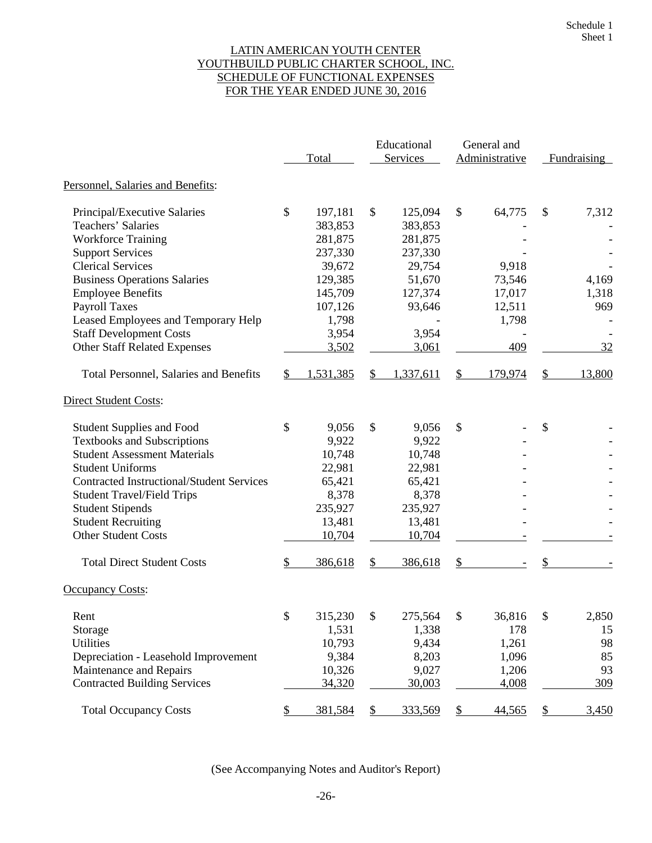|                                                    |    | Total     | Educational<br>Services |           | General and<br>Administrative |         | Fundraising   |        |
|----------------------------------------------------|----|-----------|-------------------------|-----------|-------------------------------|---------|---------------|--------|
| Office Expenses:                                   |    |           |                         |           |                               |         |               |        |
| Office Supplies and Materials                      | \$ | 8,080     | \$                      | 7,063     | $\mathcal{S}$                 | 944     | $\mathcal{S}$ | 73     |
| <b>Equipment Rental and Maintenance</b>            |    | 11,474    |                         | 10,030    |                               | 1,340   |               | 104    |
| Telecommunications                                 |    | 17,031    |                         | 14,888    |                               | 1,989   |               | 154    |
| Printing and Copying                               |    | 421       |                         | 368       |                               | 49      |               | 4      |
| Postage and Shipping                               |    | 1,053     |                         | 919       |                               | 123     |               | 11     |
| <b>Computer Support</b><br><b>Meeting Expenses</b> |    | 21,233    |                         | 18,561    |                               | 2,480   |               | 192    |
| Membership and Subscriptions                       |    | 2,321     |                         | 2,029     |                               | 271     |               | 21     |
| Marketing and Promotion                            |    | 646       |                         | 646       |                               |         |               |        |
| <b>Total Office Expenses</b>                       | \$ | 62,259    | \$                      | 54,504    | \$                            | 7,196   | \$            | 559    |
| General Expenses:                                  |    |           |                         |           |                               |         |               |        |
| Insurance                                          | \$ | 12,359    | \$                      | 10,902    | $\mathcal{S}$                 | 1,457   | \$            |        |
| Legal Fees                                         |    | 500       |                         |           |                               | 500     |               |        |
| <b>Accounting Services</b>                         |    | 78,004    |                         |           |                               | 78,004  |               |        |
| Consulting                                         |    | 728,248   |                         | 654,838   |                               | 73,410  |               |        |
| <b>Authorizer Fee</b>                              |    | 28,688    |                         | 25,307    |                               | 3,381   |               |        |
| Depreciation                                       |    | 8,535     |                         | 7,461     |                               | 996     |               | 78     |
| Accreditation                                      |    | 7,247     |                         | 7,247     |                               |         |               |        |
| Fees and Licenses                                  |    | 1,734     |                         |           |                               | 1,734   |               |        |
| <b>Total General Expenses</b>                      | \$ | 865,315   | \$                      | 705,755   | \$                            | 159,482 | \$            | 78     |
| <b>Total Functional Expenses</b>                   | \$ | 3,227,161 | \$                      | 2,818,057 | \$                            | 391,217 | \$            | 17,887 |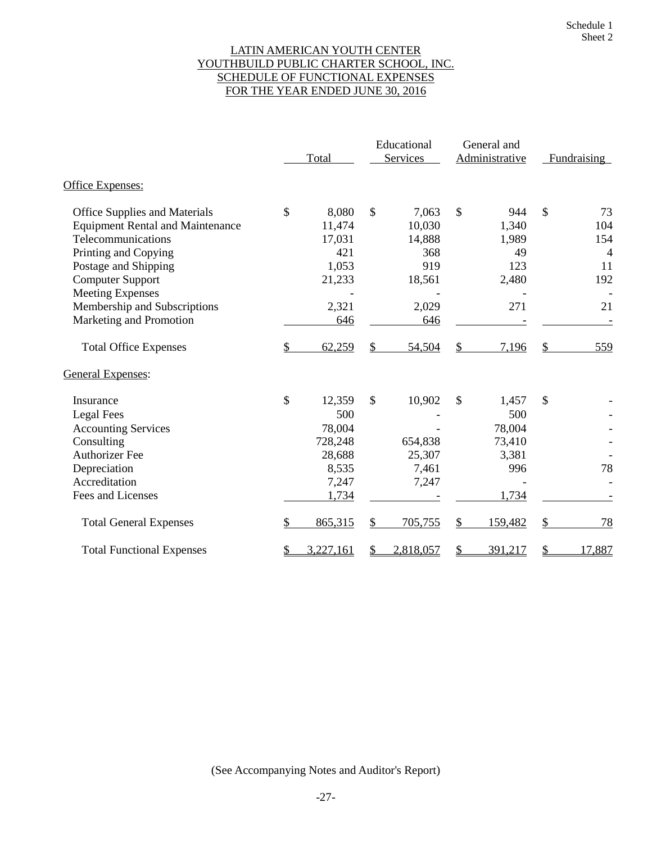|                                                  | Total           |               | Educational<br>Services |               | General and<br>Administrative |               | Fundraising |
|--------------------------------------------------|-----------------|---------------|-------------------------|---------------|-------------------------------|---------------|-------------|
|                                                  |                 |               |                         |               |                               |               |             |
| Personnel, Salaries and Benefits:                |                 |               |                         |               |                               |               |             |
| Academic Instruction                             | \$<br>286,009   | \$            | 286,009                 | \$            |                               | \$            |             |
| <b>Workforce Training</b>                        | 277,111         |               | 277,111                 |               |                               |               |             |
| <b>Transition Services</b>                       | 104,699         |               | 104,699                 |               |                               |               |             |
| <b>Support Services</b>                          | 234,898         |               | 234,898                 |               |                               |               |             |
| Administration                                   | 468,474         |               | 274,843                 |               | 176,269                       |               | 17,362      |
| <b>Employee Benefits</b>                         | 128,625         |               | 110,461                 |               | 16,535                        |               | 1,629       |
| <b>Payroll Taxes</b>                             | 114,079         |               | 97,969                  |               | 14,665                        |               | 1,445       |
| Leased Employees and Temporary Help              | 2,030           |               |                         |               | 2,030                         |               |             |
| <b>Staff Development Costs</b>                   | 38,560          |               | 38,560                  |               |                               |               |             |
| <b>Other Staff Related Expenses</b>              | 7,702           |               | 6,615                   |               | 990                           |               | 97          |
| Total Personnel, Salaries and Benefits           | \$<br>1,662,187 | \$            | 1,431,165               | \$            | 210,489                       | \$            | 20,533      |
| <b>Direct Student Costs:</b>                     |                 |               |                         |               |                               |               |             |
| <b>Student Supplies and Food</b>                 | \$<br>5,360     | \$            | 5,360                   | \$            |                               | \$            |             |
| <b>Textbooks and Subscriptions</b>               | 14,023          |               | 14,023                  |               |                               |               |             |
| <b>Student Assessment Materials</b>              | 6,438           |               | 6,438                   |               |                               |               |             |
| <b>Student Uniforms</b>                          | 10,607          |               | 10,607                  |               |                               |               |             |
| <b>Contracted Instructional/Student Services</b> | 165,595         |               | 165,595                 |               |                               |               |             |
| <b>Student Travel/Field Trips</b>                | 33,557          |               | 33,557                  |               |                               |               |             |
| <b>Student Stipends</b>                          | 283,519         |               | 283,519                 |               |                               |               |             |
| <b>Student Counseling</b>                        | 5,655           |               | 5,655                   |               |                               |               |             |
| <b>Student Recruiting</b>                        | 10,074          |               | 10,074                  |               |                               |               |             |
| <b>Other Student Costs</b>                       | 13,478          |               | 13,478                  |               |                               |               |             |
| <b>Total Direct Student Costs</b>                | \$<br>548,306   | \$            | 548,306                 | \$            |                               | \$            |             |
| <b>Occupancy Costs:</b>                          |                 |               |                         |               |                               |               |             |
| Rent                                             | \$<br>306,814   | \$            | 263,488                 | \$            | 39,442                        | \$            | 3,884       |
| Storage                                          | 1,124           |               | 965                     |               | 144                           |               | 15          |
| Utilities                                        | 9,848           |               | 8,457                   |               | 1,266                         |               | 125         |
| Depreciation - Leasehold Improvement             | 9,384           |               | 8,059                   |               | 1,206                         |               | 119         |
| Maintenance and Repairs                          | 9,628           |               | 8,268                   |               | 1,238                         |               | 122         |
| <b>Contracted Building Services</b>              | 34,320          |               | 29,474                  |               | 4,412                         |               | 434         |
| <b>Total Occupancy Costs</b>                     | \$<br>371,118   | $\frac{1}{2}$ | 318,711                 | $\frac{1}{2}$ | 47,708                        | $\frac{1}{2}$ | 4,699       |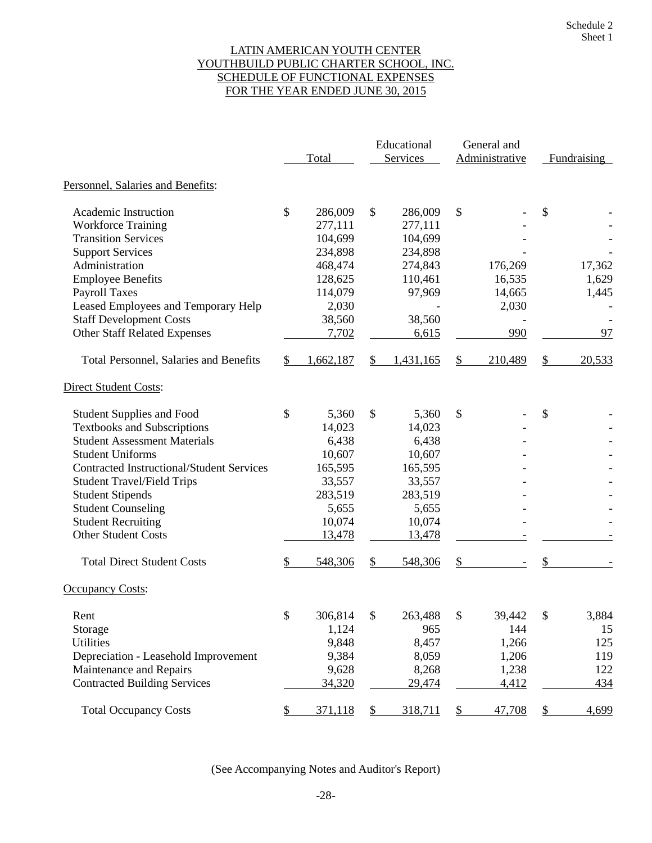|                                         |    | Total     | Educational<br>Services |           | General and<br>Administrative |                | Fundraising |        |
|-----------------------------------------|----|-----------|-------------------------|-----------|-------------------------------|----------------|-------------|--------|
| Office Expenses:                        |    |           |                         |           |                               |                |             |        |
| <b>Office Supplies and Materials</b>    | \$ | 10,127    | \$                      | 8,697     | \$                            | 1,302          | \$          | 128    |
| <b>Equipment Rental and Maintenance</b> |    | 5,554     |                         | 4,770     |                               | 714            |             | 70     |
| Telecommunications                      |    | 18,009    |                         | 15,466    |                               | 2,315          |             | 228    |
| Printing and Copying                    |    | 9,503     |                         | 8,161     |                               | 1,222          |             | 120    |
| Postage and Shipping                    |    | 1,654     |                         | 1,420     |                               | 213            |             | 21     |
| <b>Computer Support</b>                 |    | 20,655    |                         | 17,738    |                               | 2,655          |             | 262    |
| <b>Meeting Expenses</b>                 |    | 550       |                         | 472       |                               | 71             |             | 7      |
| Membership and Subscriptions            |    | 4,655     |                         | 3,998     |                               | 598            |             | 59     |
| Marketing and Promotion                 |    | 1,512     |                         | 1,512     |                               |                |             |        |
| <b>Total Office Expenses</b>            | \$ | 72,219    | \$                      | 62,234    | \$                            | 9,090          | \$          | 895    |
| General Expenses:                       |    |           |                         |           |                               |                |             |        |
| Insurance                               | \$ | 12,542    | \$                      | 10,771    | $\mathcal{S}$                 | 1,612          | \$          | 159    |
| Legal Fees                              |    | 9,710     |                         |           |                               | 9,710          |             |        |
| <b>Accounting Services</b>              |    | 69,595    |                         |           |                               | 69,595         |             |        |
| Consulting                              |    | 105,613   |                         | 105,613   |                               |                |             |        |
| <b>Authorizer Fee</b>                   |    | 26,975    |                         |           |                               | 26,975         |             |        |
| Depreciation                            |    | 9,651     |                         | 8,288     |                               | 1,241          |             | 122    |
| Fees and Licenses                       |    | 2,008     |                         |           |                               | 2,008          |             |        |
| <b>Total General Expenses</b>           | \$ | 236,094   | \$                      | 124,672   | \$                            | <u>111,141</u> | \$          | 281    |
| <b>Total Functional Expenses</b>        |    | 2,889,924 |                         | 2,485,088 | \$                            | 378,428        | \$          | 26,408 |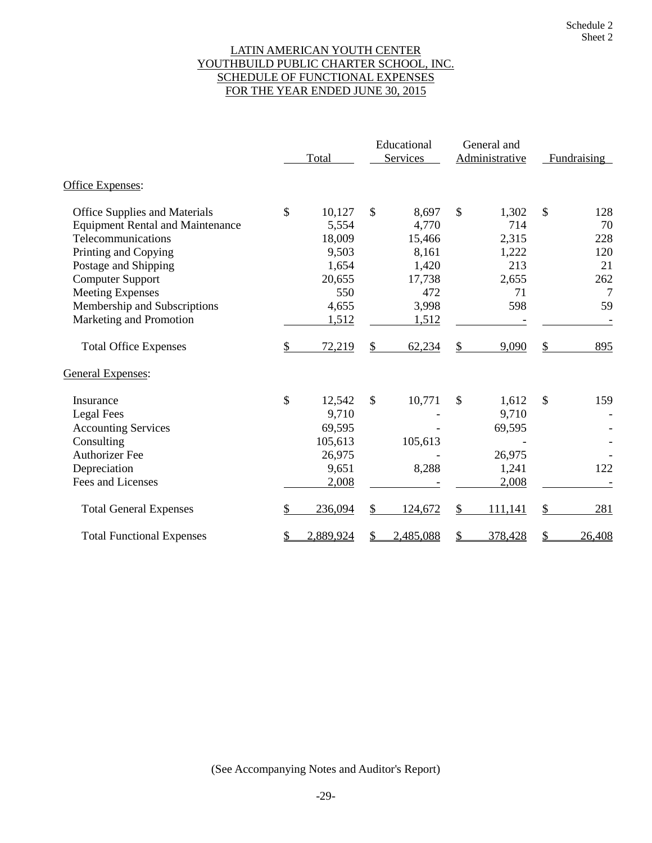# LATIN AMERICAN YOUTH CENTER YOUTHBUILD PUBLIC CHARTER SCHOOL, INC. COMPARATIVE SCHEDULES OF AVERAGE COST PER STUDENT FOR THE YEARS ENDED JUNE 30, 2016 AND 2015

June 30, 2016

|                            |       | <b>Total Cost</b> |   | <b>Average Cost</b><br>Per Student |  |
|----------------------------|-------|-------------------|---|------------------------------------|--|
| Instructional              |       | \$<br>2,484,488   | S | 21,604                             |  |
| <b>Occupancy Cost</b>      |       | 381,584           |   | 3,318                              |  |
| General and Administrative |       | 346,652           |   | 3,014                              |  |
| Fundraising                |       | 14,437            |   |                                    |  |
|                            | Total | 3,227,161         |   | 27,936                             |  |

The above is the average per student cost for the year ended June 30, 2016, and is based on a full time equivalent (FTE) enrollment of 115 students.

#### June 30, 2015

|                            |       | <b>Total Cost</b> |           | <b>Average Cost</b><br>Per Student |        |
|----------------------------|-------|-------------------|-----------|------------------------------------|--------|
| Instructional              |       | S                 | 2,166,377 | \$                                 | 19,343 |
| <b>Occupancy Cost</b>      |       |                   | 371,118   |                                    | 3,314  |
| General and Administrative |       |                   | 330,720   |                                    | 2,953  |
| Fundraising                |       |                   | 21,709    |                                    |        |
|                            | Total |                   | 2,889,924 |                                    | 25,610 |

The above is the average per student cost for the year ended June 30, 2015, and is based on a full time equivalent (FTE) enrollment of 112 students.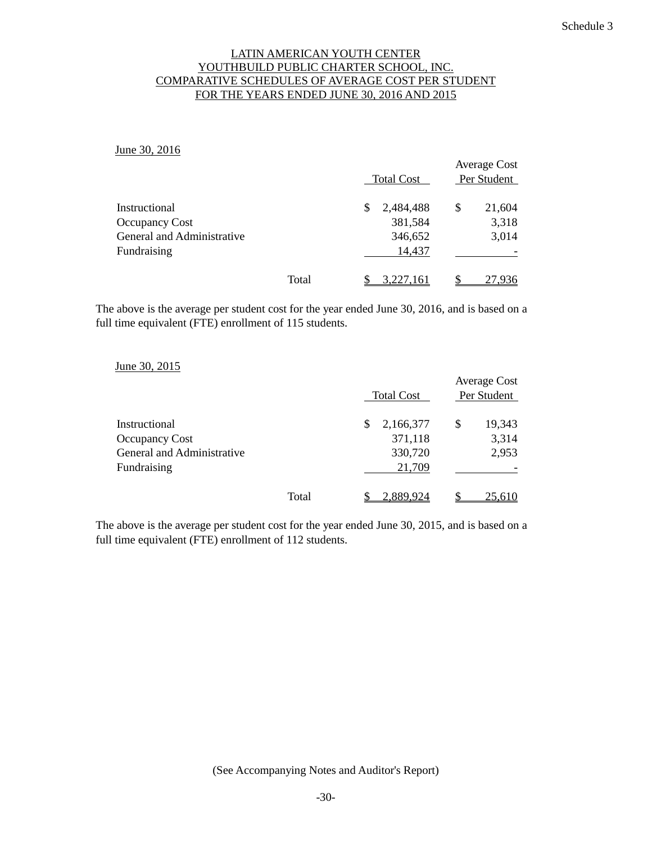Board of Directors Latin American Youth Center YouthBuild Public Charter School, Inc. 3014 14th Street, NW Washington, DC 20009

# INDEPENDENT AUDITOR'S REPORT ON INTERNAL CONTROL OVER FINANCIAL REPORTING AND ON COMPLIANCE AND OTHER MATTERS BASED ON AN AUDIT OF FINANCIAL STATEMENTS PERFORMED IN ACCORDANCE WITH *GOVERNMENT AUDITING STANDARDS*

We have audited in accordance with auditing standards generally accepted in the United States of America and the standards applicable to financial audits contained in *Government Auditing Standards*, issued by the Comptroller General of the United States, the financial statements of the Latin American Youth Center YouthBuild Public Charter School, Inc., (a nonprofit organization), which comprise the statement of financial position as of June 30, 2016, and the related statements of activities and cash flows for the year then ended, and the related notes to the financial statements, and have issued our report thereon dated October 6, 2016.

### *Internal Control Over Financial Reporting*

In planning and performing our audit of the financial statements, we considered the Latin American Youth Center YouthBuild Public Charter School, Inc.,'s internal control over financial reporting (internal control) to determine the audit procedures that are appropriate in the circumstances for the purpose of expressing our opinion on the financial statements, but not for the purpose of expressing an opinion on the effectiveness of the Latin American Youth Center YouthBuild Public Charter School, Inc.,'s internal control. Accordingly, we do not express an opinion on the effectiveness of the Latin American Youth Center YouthBuild Public Charter School, Inc.'s internal control.

A *deficiency in internal control* exists when the design or operation of a control does not allow management or employees, in the normal course of performing their assigned functions, to prevent, or detect and correct, misstatements on a timely basis. A *material weakness* is a deficiency, or a combination of deficiencies, in internal control, such that there is a reasonable possibility that a material misstatement of the entity's financial statements will not be prevented, or detected and corrected on a timely basis. A *significant deficiency* is a deficiency, or a combination of deficiencies, in internal control that is less severe than a material weakness, yet important enough to merit attention by those charged with governance.

Our consideration of internal control was for the limited purpose described in the first paragraph of this section and was not designed to identify all deficiencies in internal control that might be material weaknesses or significant deficiencies. Given these limitations, during our audit we did not identify any deficiencies in internal control that we consider to be material weaknesses. However, material weaknesses may exist that have not been identified.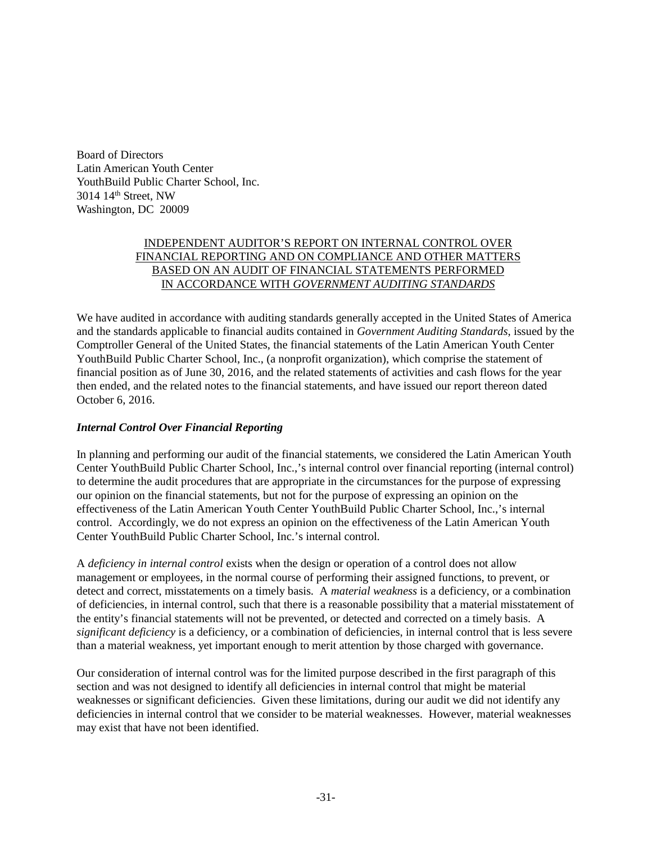# *Compliance and Other Matters*

As part of obtaining reasonable assurance about whether the Latin American Youth Center YouthBuild Public Charter School, Inc.'s financial statements are free from material misstatement, we performed tests of its compliance with certain provisions of laws, regulations, contracts and grant agreements, noncompliance with which could have a direct and material effect on the determination of financial statement amounts. However, providing an opinion on compliance with those provisions was not an objective of our audit and accordingly, we do not express such an opinion. The results of our tests disclosed no instances of noncompliance or other matters that are required to be reported under *Government Auditing Standards*.

# *Purpose of this Report*

The purpose of this report is solely to describe the scope of our testing of internal control and compliance and the results of that testing, and not to provide an opinion on the effectiveness of the organization's internal control or on compliance. This report is an integral part of an audit performed in accordance with *Government Auditing Standards* in considering the organization's internal control and compliance. Accordingly, this communication is not suitable for any other purpose.

> Kendall, Prebola and Jones Certified Public Accountants

Bedford, Pennsylvania October 6, 2016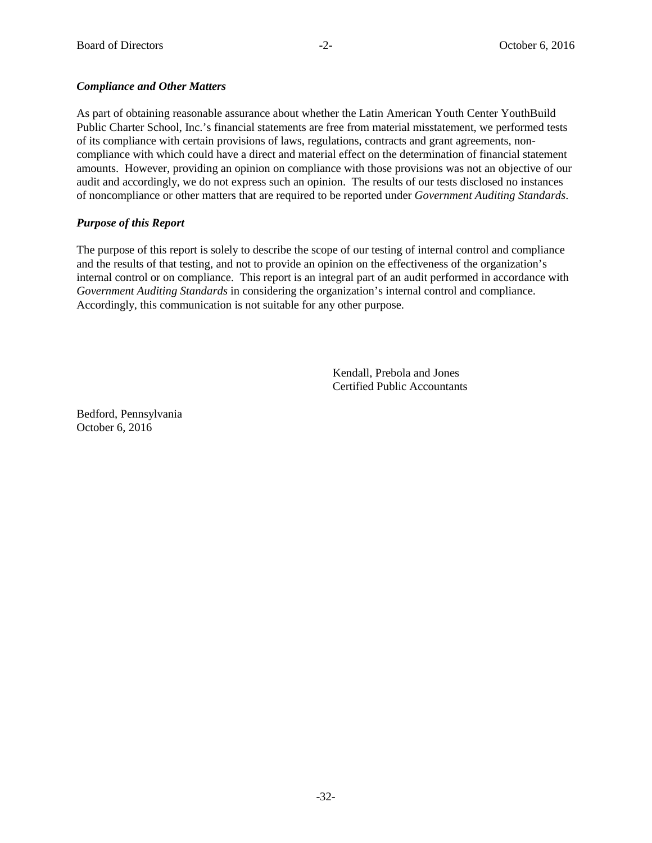# LATIN AMERICAN YOUTH CENTER YOUTHBUILD PUBLIC CHARTER SCHOOL, INC. SUMMARY SCHEDULE OF PRIOR AUDIT FINDINGS FOR THE YEAR ENDED JUNE 30, 2016

There were no findings reported in the prior year.